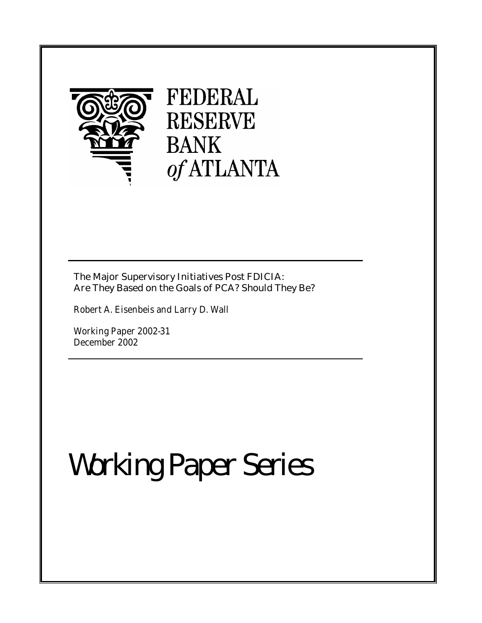

# FEDERAL **RESERVE BANK** of ATLANTA

**The Major Supervisory Initiatives Post FDICIA: Are They Based on the Goals of PCA? Should They Be?** 

Robert A. Eisenbeis and Larry D. Wall

Working Paper 2002-31 December 2002

# Working Paper Series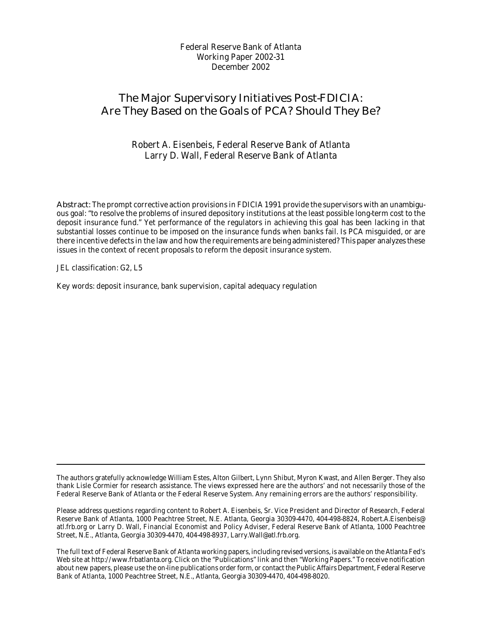Federal Reserve Bank of Atlanta Working Paper 2002-31 December 2002

# **The Major Supervisory Initiatives Post-FDICIA: Are They Based on the Goals of PCA? Should They Be?**

# Robert A. Eisenbeis, Federal Reserve Bank of Atlanta Larry D. Wall, Federal Reserve Bank of Atlanta

**Abstract:** The prompt corrective action provisions in FDICIA 1991 provide the supervisors with an unambiguous goal: "to resolve the problems of insured depository institutions at the least possible long-term cost to the deposit insurance fund." Yet performance of the regulators in achieving this goal has been lacking in that substantial losses continue to be imposed on the insurance funds when banks fail. Is PCA misguided, or are there incentive defects in the law and how the requirements are being administered? This paper analyzes these issues in the context of recent proposals to reform the deposit insurance system.

JEL classification: G2, L5

Key words: deposit insurance, bank supervision, capital adequacy regulation

The authors gratefully acknowledge William Estes, Alton Gilbert, Lynn Shibut, Myron Kwast, and Allen Berger. They also thank Lisle Cormier for research assistance. The views expressed here are the authors' and not necessarily those of the Federal Reserve Bank of Atlanta or the Federal Reserve System. Any remaining errors are the authors' responsibility.

Please address questions regarding content to Robert A. Eisenbeis, Sr. Vice President and Director of Research, Federal Reserve Bank of Atlanta, 1000 Peachtree Street, N.E. Atlanta, Georgia 30309-4470, 404-498-8824, Robert.A.Eisenbeis@ atl.frb.org or Larry D. Wall, Financial Economist and Policy Adviser, Federal Reserve Bank of Atlanta, 1000 Peachtree Street, N.E., Atlanta, Georgia 30309-4470, 404-498-8937, Larry.Wall@atl.frb.org.

The full text of Federal Reserve Bank of Atlanta working papers, including revised versions, is available on the Atlanta Fed's Web site at http://www.frbatlanta.org. Click on the "Publications" link and then "Working Papers." To receive notification about new papers, please use the on-line publications order form, or contact the Public Affairs Department, Federal Reserve Bank of Atlanta, 1000 Peachtree Street, N.E., Atlanta, Georgia 30309-4470, 404-498-8020.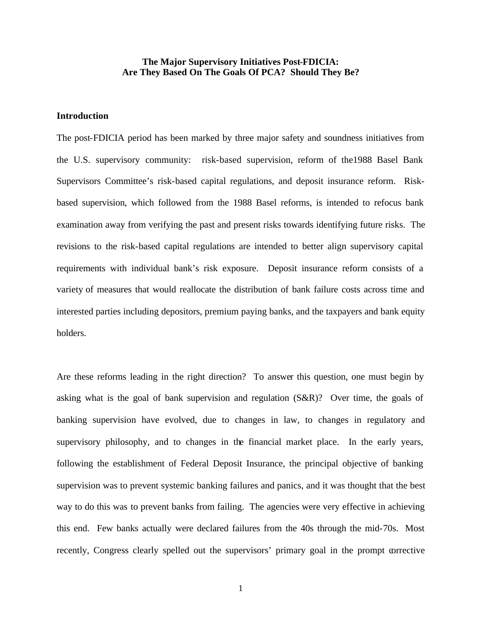## **The Major Supervisory Initiatives Post-FDICIA: Are They Based On The Goals Of PCA? Should They Be?**

#### **Introduction**

The post-FDICIA period has been marked by three major safety and soundness initiatives from the U.S. supervisory community: risk-based supervision, reform of the1988 Basel Bank Supervisors Committee's risk-based capital regulations, and deposit insurance reform. Riskbased supervision, which followed from the 1988 Basel reforms, is intended to refocus bank examination away from verifying the past and present risks towards identifying future risks. The revisions to the risk-based capital regulations are intended to better align supervisory capital requirements with individual bank's risk exposure. Deposit insurance reform consists of a variety of measures that would reallocate the distribution of bank failure costs across time and interested parties including depositors, premium paying banks, and the taxpayers and bank equity holders.

Are these reforms leading in the right direction? To answer this question, one must begin by asking what is the goal of bank supervision and regulation (S&R)? Over time, the goals of banking supervision have evolved, due to changes in law, to changes in regulatory and supervisory philosophy, and to changes in the financial market place. In the early years, following the establishment of Federal Deposit Insurance, the principal objective of banking supervision was to prevent systemic banking failures and panics, and it was thought that the best way to do this was to prevent banks from failing. The agencies were very effective in achieving this end. Few banks actually were declared failures from the 40s through the mid-70s. Most recently, Congress clearly spelled out the supervisors' primary goal in the prompt corrective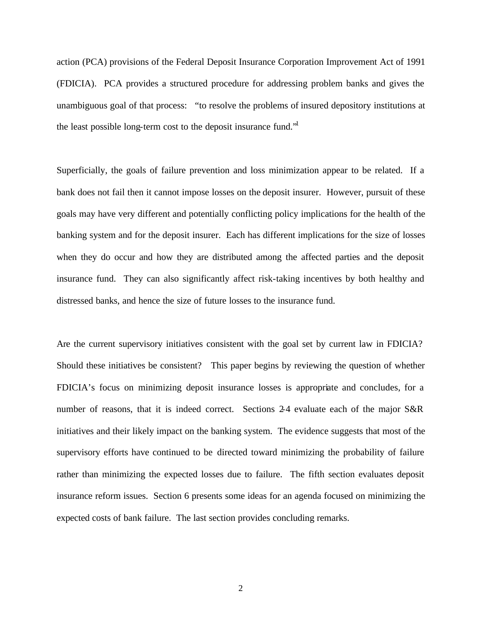action (PCA) provisions of the Federal Deposit Insurance Corporation Improvement Act of 1991 (FDICIA). PCA provides a structured procedure for addressing problem banks and gives the unambiguous goal of that process: "to resolve the problems of insured depository institutions at the least possible long-term cost to the deposit insurance fund."

Superficially, the goals of failure prevention and loss minimization appear to be related. If a bank does not fail then it cannot impose losses on the deposit insurer. However, pursuit of these goals may have very different and potentially conflicting policy implications for the health of the banking system and for the deposit insurer. Each has different implications for the size of losses when they do occur and how they are distributed among the affected parties and the deposit insurance fund. They can also significantly affect risk-taking incentives by both healthy and distressed banks, and hence the size of future losses to the insurance fund.

Are the current supervisory initiatives consistent with the goal set by current law in FDICIA? Should these initiatives be consistent? This paper begins by reviewing the question of whether FDICIA's focus on minimizing deposit insurance losses is appropriate and concludes, for a number of reasons, that it is indeed correct. Sections 2-4 evaluate each of the major S&R initiatives and their likely impact on the banking system. The evidence suggests that most of the supervisory efforts have continued to be directed toward minimizing the probability of failure rather than minimizing the expected losses due to failure. The fifth section evaluates deposit insurance reform issues. Section 6 presents some ideas for an agenda focused on minimizing the expected costs of bank failure. The last section provides concluding remarks.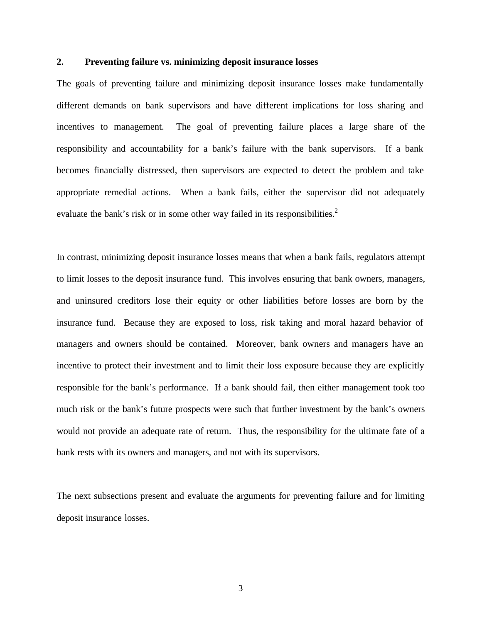#### **2. Preventing failure vs. minimizing deposit insurance losses**

The goals of preventing failure and minimizing deposit insurance losses make fundamentally different demands on bank supervisors and have different implications for loss sharing and incentives to management. The goal of preventing failure places a large share of the responsibility and accountability for a bank's failure with the bank supervisors. If a bank becomes financially distressed, then supervisors are expected to detect the problem and take appropriate remedial actions. When a bank fails, either the supervisor did not adequately evaluate the bank's risk or in some other way failed in its responsibilities.<sup>2</sup>

In contrast, minimizing deposit insurance losses means that when a bank fails, regulators attempt to limit losses to the deposit insurance fund. This involves ensuring that bank owners, managers, and uninsured creditors lose their equity or other liabilities before losses are born by the insurance fund. Because they are exposed to loss, risk taking and moral hazard behavior of managers and owners should be contained. Moreover, bank owners and managers have an incentive to protect their investment and to limit their loss exposure because they are explicitly responsible for the bank's performance. If a bank should fail, then either management took too much risk or the bank's future prospects were such that further investment by the bank's owners would not provide an adequate rate of return. Thus, the responsibility for the ultimate fate of a bank rests with its owners and managers, and not with its supervisors.

The next subsections present and evaluate the arguments for preventing failure and for limiting deposit insurance losses.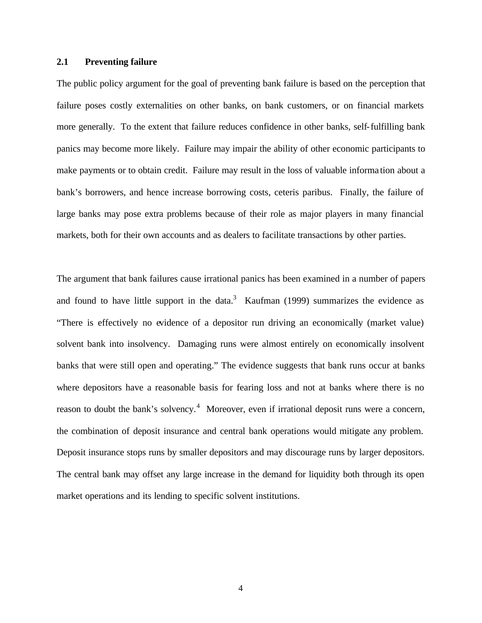#### **2.1 Preventing failure**

The public policy argument for the goal of preventing bank failure is based on the perception that failure poses costly externalities on other banks, on bank customers, or on financial markets more generally. To the extent that failure reduces confidence in other banks, self-fulfilling bank panics may become more likely. Failure may impair the ability of other economic participants to make payments or to obtain credit. Failure may result in the loss of valuable informa tion about a bank's borrowers, and hence increase borrowing costs, ceteris paribus. Finally, the failure of large banks may pose extra problems because of their role as major players in many financial markets, both for their own accounts and as dealers to facilitate transactions by other parties.

The argument that bank failures cause irrational panics has been examined in a number of papers and found to have little support in the data.<sup>3</sup> Kaufman (1999) summarizes the evidence as "There is effectively no evidence of a depositor run driving an economically (market value) solvent bank into insolvency. Damaging runs were almost entirely on economically insolvent banks that were still open and operating." The evidence suggests that bank runs occur at banks where depositors have a reasonable basis for fearing loss and not at banks where there is no reason to doubt the bank's solvency.<sup>4</sup> Moreover, even if irrational deposit runs were a concern, the combination of deposit insurance and central bank operations would mitigate any problem. Deposit insurance stops runs by smaller depositors and may discourage runs by larger depositors. The central bank may offset any large increase in the demand for liquidity both through its open market operations and its lending to specific solvent institutions.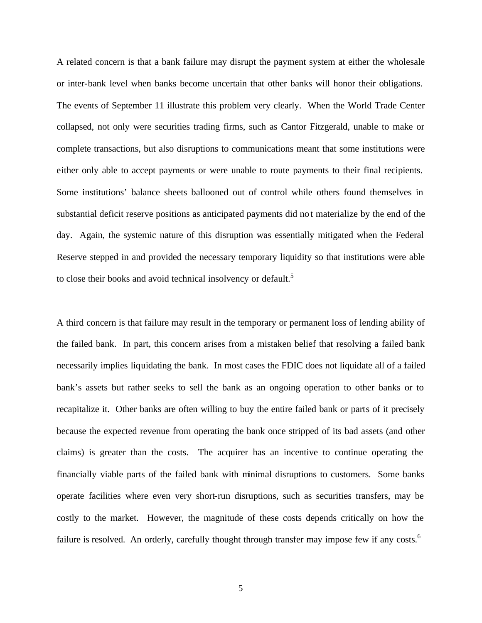A related concern is that a bank failure may disrupt the payment system at either the wholesale or inter-bank level when banks become uncertain that other banks will honor their obligations. The events of September 11 illustrate this problem very clearly. When the World Trade Center collapsed, not only were securities trading firms, such as Cantor Fitzgerald, unable to make or complete transactions, but also disruptions to communications meant that some institutions were either only able to accept payments or were unable to route payments to their final recipients. Some institutions' balance sheets ballooned out of control while others found themselves in substantial deficit reserve positions as anticipated payments did not materialize by the end of the day. Again, the systemic nature of this disruption was essentially mitigated when the Federal Reserve stepped in and provided the necessary temporary liquidity so that institutions were able to close their books and avoid technical insolvency or default.<sup>5</sup>

A third concern is that failure may result in the temporary or permanent loss of lending ability of the failed bank. In part, this concern arises from a mistaken belief that resolving a failed bank necessarily implies liquidating the bank. In most cases the FDIC does not liquidate all of a failed bank's assets but rather seeks to sell the bank as an ongoing operation to other banks or to recapitalize it. Other banks are often willing to buy the entire failed bank or parts of it precisely because the expected revenue from operating the bank once stripped of its bad assets (and other claims) is greater than the costs. The acquirer has an incentive to continue operating the financially viable parts of the failed bank with minimal disruptions to customers. Some banks operate facilities where even very short-run disruptions, such as securities transfers, may be costly to the market. However, the magnitude of these costs depends critically on how the failure is resolved. An orderly, carefully thought through transfer may impose few if any costs.<sup>6</sup>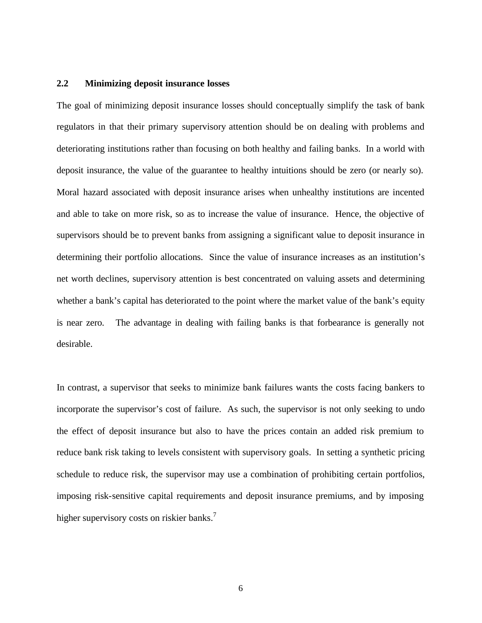# **2.2 Minimizing deposit insurance losses**

The goal of minimizing deposit insurance losses should conceptually simplify the task of bank regulators in that their primary supervisory attention should be on dealing with problems and deteriorating institutions rather than focusing on both healthy and failing banks. In a world with deposit insurance, the value of the guarantee to healthy intuitions should be zero (or nearly so). Moral hazard associated with deposit insurance arises when unhealthy institutions are incented and able to take on more risk, so as to increase the value of insurance. Hence, the objective of supervisors should be to prevent banks from assigning a significant value to deposit insurance in determining their portfolio allocations. Since the value of insurance increases as an institution's net worth declines, supervisory attention is best concentrated on valuing assets and determining whether a bank's capital has deteriorated to the point where the market value of the bank's equity is near zero. The advantage in dealing with failing banks is that forbearance is generally not desirable.

In contrast, a supervisor that seeks to minimize bank failures wants the costs facing bankers to incorporate the supervisor's cost of failure. As such, the supervisor is not only seeking to undo the effect of deposit insurance but also to have the prices contain an added risk premium to reduce bank risk taking to levels consistent with supervisory goals. In setting a synthetic pricing schedule to reduce risk, the supervisor may use a combination of prohibiting certain portfolios, imposing risk-sensitive capital requirements and deposit insurance premiums, and by imposing higher supervisory costs on riskier banks.<sup>7</sup>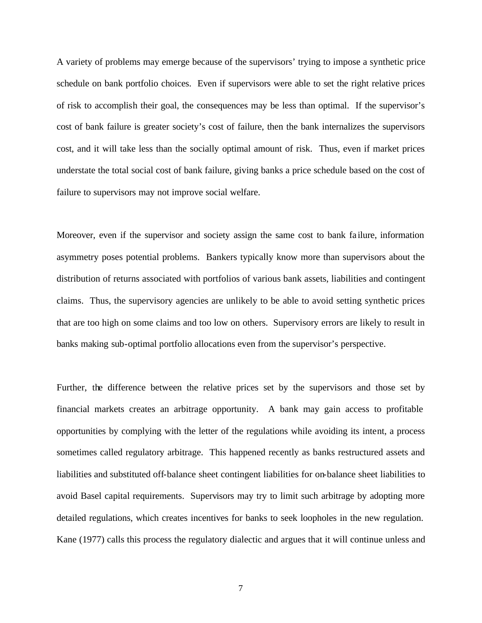A variety of problems may emerge because of the supervisors' trying to impose a synthetic price schedule on bank portfolio choices. Even if supervisors were able to set the right relative prices of risk to accomplish their goal, the consequences may be less than optimal. If the supervisor's cost of bank failure is greater society's cost of failure, then the bank internalizes the supervisors cost, and it will take less than the socially optimal amount of risk. Thus, even if market prices understate the total social cost of bank failure, giving banks a price schedule based on the cost of failure to supervisors may not improve social welfare.

Moreover, even if the supervisor and society assign the same cost to bank fa ilure, information asymmetry poses potential problems. Bankers typically know more than supervisors about the distribution of returns associated with portfolios of various bank assets, liabilities and contingent claims. Thus, the supervisory agencies are unlikely to be able to avoid setting synthetic prices that are too high on some claims and too low on others. Supervisory errors are likely to result in banks making sub-optimal portfolio allocations even from the supervisor's perspective.

Further, the difference between the relative prices set by the supervisors and those set by financial markets creates an arbitrage opportunity. A bank may gain access to profitable opportunities by complying with the letter of the regulations while avoiding its intent, a process sometimes called regulatory arbitrage. This happened recently as banks restructured assets and liabilities and substituted off-balance sheet contingent liabilities for on-balance sheet liabilities to avoid Basel capital requirements. Supervisors may try to limit such arbitrage by adopting more detailed regulations, which creates incentives for banks to seek loopholes in the new regulation. Kane (1977) calls this process the regulatory dialectic and argues that it will continue unless and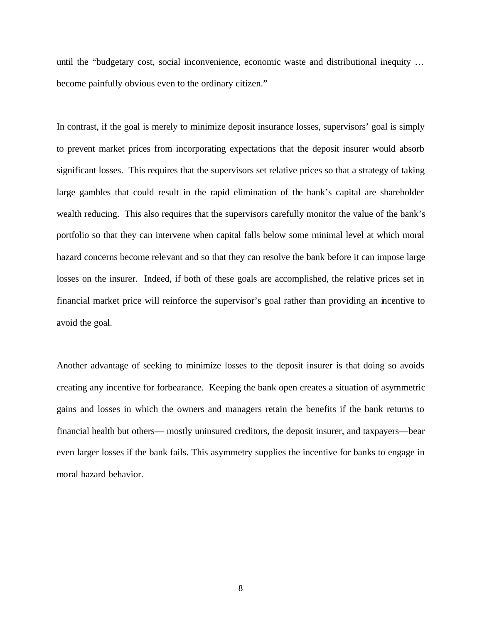until the "budgetary cost, social inconvenience, economic waste and distributional inequity … become painfully obvious even to the ordinary citizen."

In contrast, if the goal is merely to minimize deposit insurance losses, supervisors' goal is simply to prevent market prices from incorporating expectations that the deposit insurer would absorb significant losses. This requires that the supervisors set relative prices so that a strategy of taking large gambles that could result in the rapid elimination of the bank's capital are shareholder wealth reducing. This also requires that the supervisors carefully monitor the value of the bank's portfolio so that they can intervene when capital falls below some minimal level at which moral hazard concerns become relevant and so that they can resolve the bank before it can impose large losses on the insurer. Indeed, if both of these goals are accomplished, the relative prices set in financial market price will reinforce the supervisor's goal rather than providing an incentive to avoid the goal.

Another advantage of seeking to minimize losses to the deposit insurer is that doing so avoids creating any incentive for forbearance. Keeping the bank open creates a situation of asymmetric gains and losses in which the owners and managers retain the benefits if the bank returns to financial health but others— mostly uninsured creditors, the deposit insurer, and taxpayers—bear even larger losses if the bank fails. This asymmetry supplies the incentive for banks to engage in moral hazard behavior.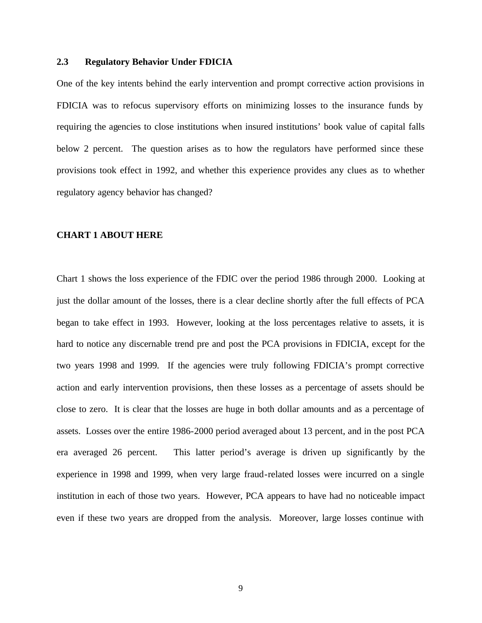#### **2.3 Regulatory Behavior Under FDICIA**

One of the key intents behind the early intervention and prompt corrective action provisions in FDICIA was to refocus supervisory efforts on minimizing losses to the insurance funds by requiring the agencies to close institutions when insured institutions' book value of capital falls below 2 percent. The question arises as to how the regulators have performed since these provisions took effect in 1992, and whether this experience provides any clues as to whether regulatory agency behavior has changed?

#### **CHART 1 ABOUT HERE**

Chart 1 shows the loss experience of the FDIC over the period 1986 through 2000. Looking at just the dollar amount of the losses, there is a clear decline shortly after the full effects of PCA began to take effect in 1993. However, looking at the loss percentages relative to assets, it is hard to notice any discernable trend pre and post the PCA provisions in FDICIA, except for the two years 1998 and 1999. If the agencies were truly following FDICIA's prompt corrective action and early intervention provisions, then these losses as a percentage of assets should be close to zero. It is clear that the losses are huge in both dollar amounts and as a percentage of assets. Losses over the entire 1986-2000 period averaged about 13 percent, and in the post PCA era averaged 26 percent. This latter period's average is driven up significantly by the experience in 1998 and 1999, when very large fraud-related losses were incurred on a single institution in each of those two years. However, PCA appears to have had no noticeable impact even if these two years are dropped from the analysis. Moreover, large losses continue with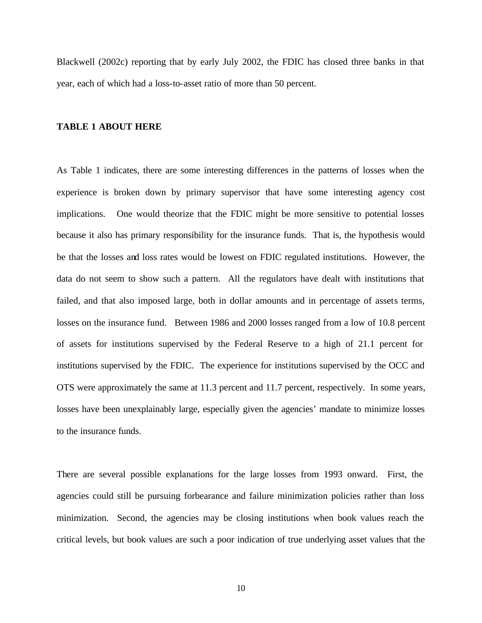Blackwell (2002c) reporting that by early July 2002, the FDIC has closed three banks in that year, each of which had a loss-to-asset ratio of more than 50 percent.

#### **TABLE 1 ABOUT HERE**

As Table 1 indicates, there are some interesting differences in the patterns of losses when the experience is broken down by primary supervisor that have some interesting agency cost implications. One would theorize that the FDIC might be more sensitive to potential losses because it also has primary responsibility for the insurance funds. That is, the hypothesis would be that the losses and loss rates would be lowest on FDIC regulated institutions. However, the data do not seem to show such a pattern. All the regulators have dealt with institutions that failed, and that also imposed large, both in dollar amounts and in percentage of assets terms, losses on the insurance fund. Between 1986 and 2000 losses ranged from a low of 10.8 percent of assets for institutions supervised by the Federal Reserve to a high of 21.1 percent for institutions supervised by the FDIC. The experience for institutions supervised by the OCC and OTS were approximately the same at 11.3 percent and 11.7 percent, respectively. In some years, losses have been unexplainably large, especially given the agencies' mandate to minimize losses to the insurance funds.

There are several possible explanations for the large losses from 1993 onward. First, the agencies could still be pursuing forbearance and failure minimization policies rather than loss minimization. Second, the agencies may be closing institutions when book values reach the critical levels, but book values are such a poor indication of true underlying asset values that the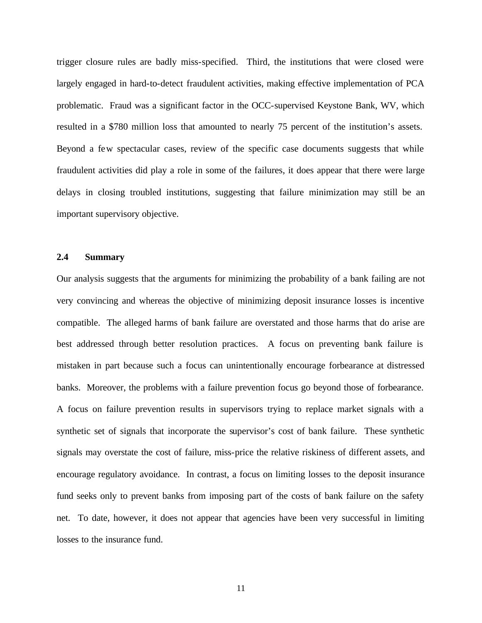trigger closure rules are badly miss-specified. Third, the institutions that were closed were largely engaged in hard-to-detect fraudulent activities, making effective implementation of PCA problematic. Fraud was a significant factor in the OCC-supervised Keystone Bank, WV, which resulted in a \$780 million loss that amounted to nearly 75 percent of the institution's assets. Beyond a few spectacular cases, review of the specific case documents suggests that while fraudulent activities did play a role in some of the failures, it does appear that there were large delays in closing troubled institutions, suggesting that failure minimization may still be an important supervisory objective.

#### **2.4 Summary**

Our analysis suggests that the arguments for minimizing the probability of a bank failing are not very convincing and whereas the objective of minimizing deposit insurance losses is incentive compatible. The alleged harms of bank failure are overstated and those harms that do arise are best addressed through better resolution practices. A focus on preventing bank failure is mistaken in part because such a focus can unintentionally encourage forbearance at distressed banks. Moreover, the problems with a failure prevention focus go beyond those of forbearance. A focus on failure prevention results in supervisors trying to replace market signals with a synthetic set of signals that incorporate the supervisor's cost of bank failure. These synthetic signals may overstate the cost of failure, miss-price the relative riskiness of different assets, and encourage regulatory avoidance. In contrast, a focus on limiting losses to the deposit insurance fund seeks only to prevent banks from imposing part of the costs of bank failure on the safety net. To date, however, it does not appear that agencies have been very successful in limiting losses to the insurance fund.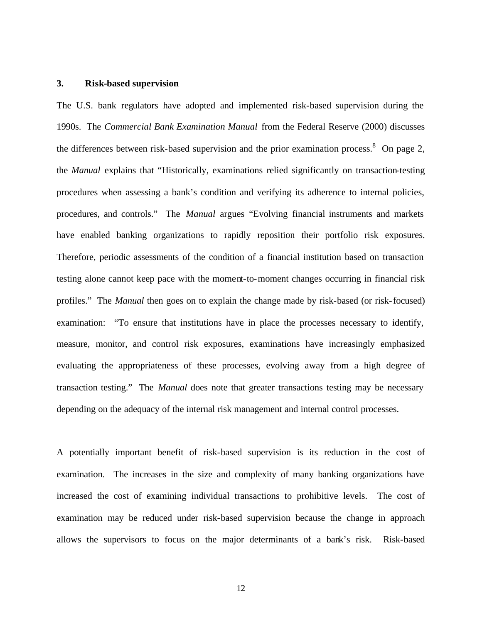#### **3. Risk-based supervision**

The U.S. bank regulators have adopted and implemented risk-based supervision during the 1990s. The *Commercial Bank Examination Manual* from the Federal Reserve (2000) discusses the differences between risk-based supervision and the prior examination process.<sup>8</sup> On page 2, the *Manual* explains that "Historically, examinations relied significantly on transaction-testing procedures when assessing a bank's condition and verifying its adherence to internal policies, procedures, and controls." The *Manual* argues "Evolving financial instruments and markets have enabled banking organizations to rapidly reposition their portfolio risk exposures. Therefore, periodic assessments of the condition of a financial institution based on transaction testing alone cannot keep pace with the moment-to-moment changes occurring in financial risk profiles." The *Manual* then goes on to explain the change made by risk-based (or risk-focused) examination: "To ensure that institutions have in place the processes necessary to identify, measure, monitor, and control risk exposures, examinations have increasingly emphasized evaluating the appropriateness of these processes, evolving away from a high degree of transaction testing." The *Manual* does note that greater transactions testing may be necessary depending on the adequacy of the internal risk management and internal control processes.

A potentially important benefit of risk-based supervision is its reduction in the cost of examination. The increases in the size and complexity of many banking organizations have increased the cost of examining individual transactions to prohibitive levels. The cost of examination may be reduced under risk-based supervision because the change in approach allows the supervisors to focus on the major determinants of a bank's risk. Risk-based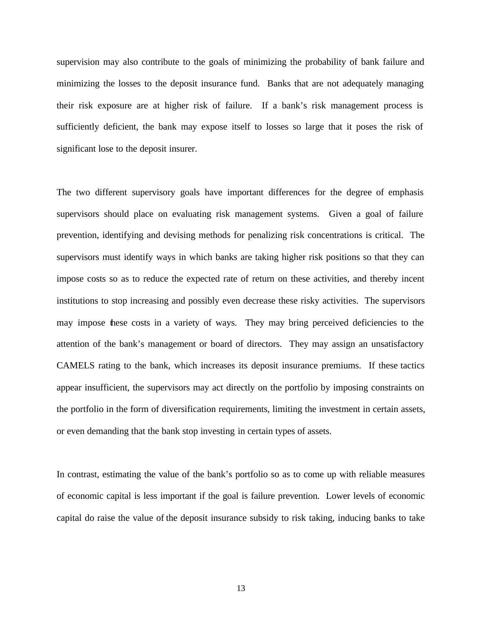supervision may also contribute to the goals of minimizing the probability of bank failure and minimizing the losses to the deposit insurance fund. Banks that are not adequately managing their risk exposure are at higher risk of failure. If a bank's risk management process is sufficiently deficient, the bank may expose itself to losses so large that it poses the risk of significant lose to the deposit insurer.

The two different supervisory goals have important differences for the degree of emphasis supervisors should place on evaluating risk management systems. Given a goal of failure prevention, identifying and devising methods for penalizing risk concentrations is critical. The supervisors must identify ways in which banks are taking higher risk positions so that they can impose costs so as to reduce the expected rate of return on these activities, and thereby incent institutions to stop increasing and possibly even decrease these risky activities. The supervisors may impose these costs in a variety of ways. They may bring perceived deficiencies to the attention of the bank's management or board of directors. They may assign an unsatisfactory CAMELS rating to the bank, which increases its deposit insurance premiums. If these tactics appear insufficient, the supervisors may act directly on the portfolio by imposing constraints on the portfolio in the form of diversification requirements, limiting the investment in certain assets, or even demanding that the bank stop investing in certain types of assets.

In contrast, estimating the value of the bank's portfolio so as to come up with reliable measures of economic capital is less important if the goal is failure prevention. Lower levels of economic capital do raise the value of the deposit insurance subsidy to risk taking, inducing banks to take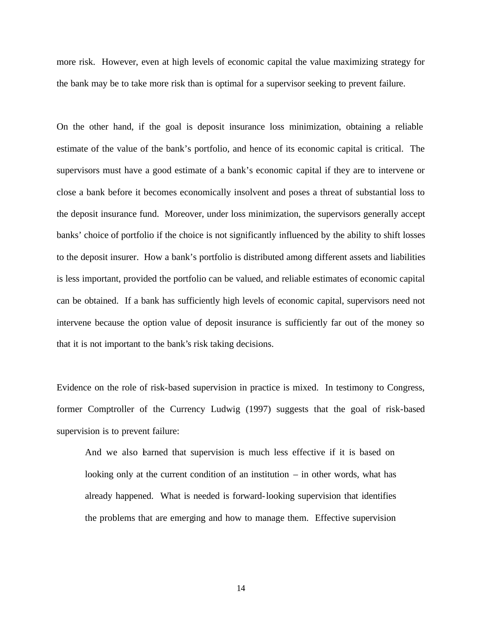more risk. However, even at high levels of economic capital the value maximizing strategy for the bank may be to take more risk than is optimal for a supervisor seeking to prevent failure.

On the other hand, if the goal is deposit insurance loss minimization, obtaining a reliable estimate of the value of the bank's portfolio, and hence of its economic capital is critical. The supervisors must have a good estimate of a bank's economic capital if they are to intervene or close a bank before it becomes economically insolvent and poses a threat of substantial loss to the deposit insurance fund. Moreover, under loss minimization, the supervisors generally accept banks' choice of portfolio if the choice is not significantly influenced by the ability to shift losses to the deposit insurer. How a bank's portfolio is distributed among different assets and liabilities is less important, provided the portfolio can be valued, and reliable estimates of economic capital can be obtained. If a bank has sufficiently high levels of economic capital, supervisors need not intervene because the option value of deposit insurance is sufficiently far out of the money so that it is not important to the bank's risk taking decisions.

Evidence on the role of risk-based supervision in practice is mixed. In testimony to Congress, former Comptroller of the Currency Ludwig (1997) suggests that the goal of risk-based supervision is to prevent failure:

And we also learned that supervision is much less effective if it is based on looking only at the current condition of an institution – in other words, what has already happened. What is needed is forward-looking supervision that identifies the problems that are emerging and how to manage them. Effective supervision

14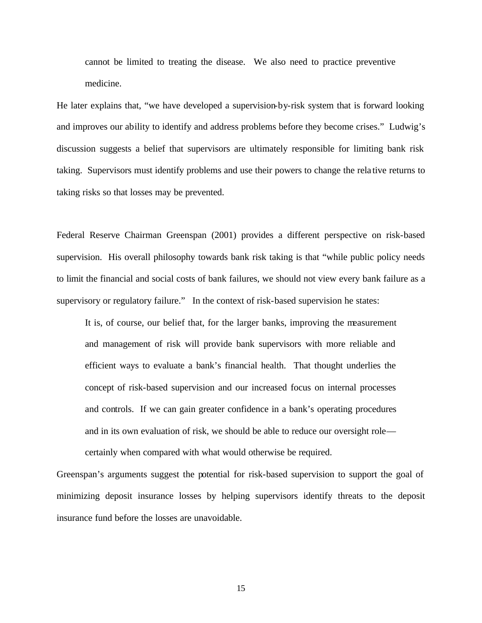cannot be limited to treating the disease. We also need to practice preventive medicine.

He later explains that, "we have developed a supervision-by-risk system that is forward looking and improves our ability to identify and address problems before they become crises." Ludwig's discussion suggests a belief that supervisors are ultimately responsible for limiting bank risk taking. Supervisors must identify problems and use their powers to change the rela tive returns to taking risks so that losses may be prevented.

Federal Reserve Chairman Greenspan (2001) provides a different perspective on risk-based supervision. His overall philosophy towards bank risk taking is that "while public policy needs to limit the financial and social costs of bank failures, we should not view every bank failure as a supervisory or regulatory failure." In the context of risk-based supervision he states:

It is, of course, our belief that, for the larger banks, improving the measurement and management of risk will provide bank supervisors with more reliable and efficient ways to evaluate a bank's financial health. That thought underlies the concept of risk-based supervision and our increased focus on internal processes and controls. If we can gain greater confidence in a bank's operating procedures and in its own evaluation of risk, we should be able to reduce our oversight role certainly when compared with what would otherwise be required.

Greenspan's arguments suggest the potential for risk-based supervision to support the goal of minimizing deposit insurance losses by helping supervisors identify threats to the deposit insurance fund before the losses are unavoidable.

15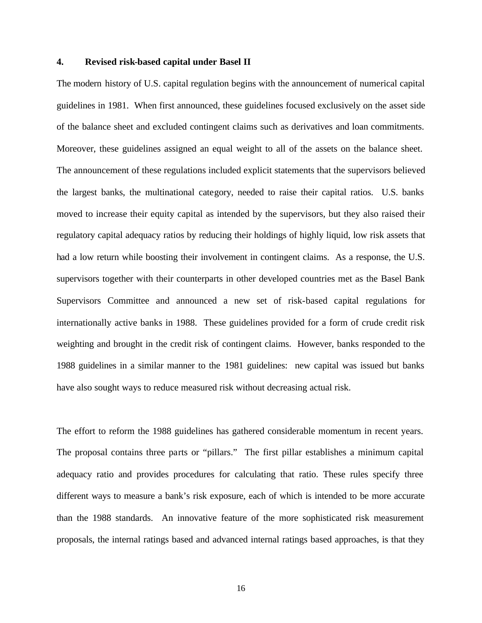#### **4. Revised risk-based capital under Basel II**

The modern history of U.S. capital regulation begins with the announcement of numerical capital guidelines in 1981. When first announced, these guidelines focused exclusively on the asset side of the balance sheet and excluded contingent claims such as derivatives and loan commitments. Moreover, these guidelines assigned an equal weight to all of the assets on the balance sheet. The announcement of these regulations included explicit statements that the supervisors believed the largest banks, the multinational category, needed to raise their capital ratios. U.S. banks moved to increase their equity capital as intended by the supervisors, but they also raised their regulatory capital adequacy ratios by reducing their holdings of highly liquid, low risk assets that had a low return while boosting their involvement in contingent claims. As a response, the U.S. supervisors together with their counterparts in other developed countries met as the Basel Bank Supervisors Committee and announced a new set of risk-based capital regulations for internationally active banks in 1988. These guidelines provided for a form of crude credit risk weighting and brought in the credit risk of contingent claims. However, banks responded to the 1988 guidelines in a similar manner to the 1981 guidelines: new capital was issued but banks have also sought ways to reduce measured risk without decreasing actual risk.

The effort to reform the 1988 guidelines has gathered considerable momentum in recent years. The proposal contains three parts or "pillars." The first pillar establishes a minimum capital adequacy ratio and provides procedures for calculating that ratio. These rules specify three different ways to measure a bank's risk exposure, each of which is intended to be more accurate than the 1988 standards. An innovative feature of the more sophisticated risk measurement proposals, the internal ratings based and advanced internal ratings based approaches, is that they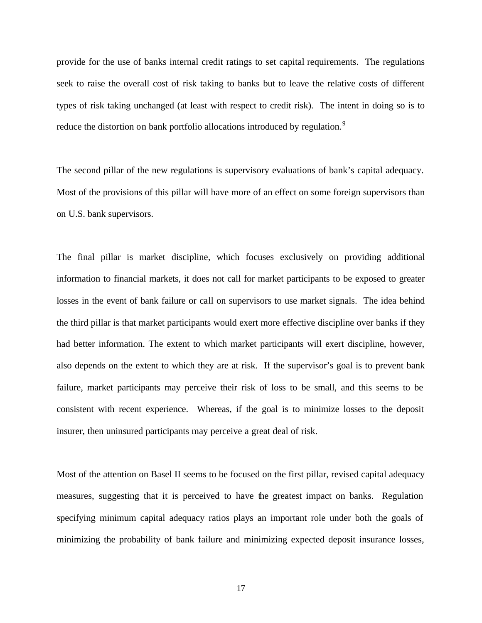provide for the use of banks internal credit ratings to set capital requirements. The regulations seek to raise the overall cost of risk taking to banks but to leave the relative costs of different types of risk taking unchanged (at least with respect to credit risk). The intent in doing so is to reduce the distortion on bank portfolio allocations introduced by regulation.<sup>9</sup>

The second pillar of the new regulations is supervisory evaluations of bank's capital adequacy. Most of the provisions of this pillar will have more of an effect on some foreign supervisors than on U.S. bank supervisors.

The final pillar is market discipline, which focuses exclusively on providing additional information to financial markets, it does not call for market participants to be exposed to greater losses in the event of bank failure or call on supervisors to use market signals. The idea behind the third pillar is that market participants would exert more effective discipline over banks if they had better information. The extent to which market participants will exert discipline, however, also depends on the extent to which they are at risk. If the supervisor's goal is to prevent bank failure, market participants may perceive their risk of loss to be small, and this seems to be consistent with recent experience. Whereas, if the goal is to minimize losses to the deposit insurer, then uninsured participants may perceive a great deal of risk.

Most of the attention on Basel II seems to be focused on the first pillar, revised capital adequacy measures, suggesting that it is perceived to have the greatest impact on banks. Regulation specifying minimum capital adequacy ratios plays an important role under both the goals of minimizing the probability of bank failure and minimizing expected deposit insurance losses,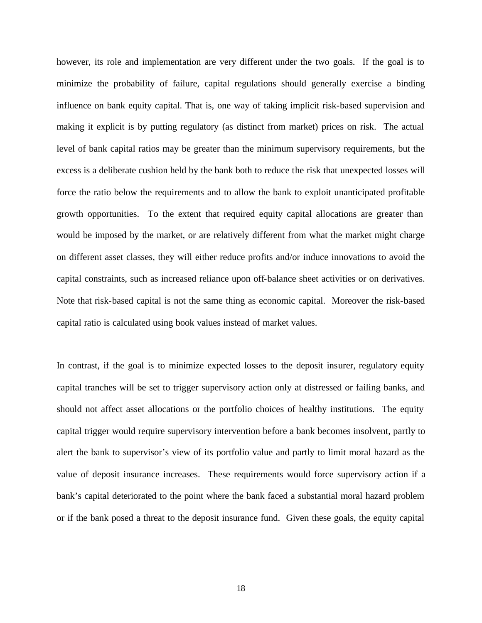however, its role and implementation are very different under the two goals. If the goal is to minimize the probability of failure, capital regulations should generally exercise a binding influence on bank equity capital. That is, one way of taking implicit risk-based supervision and making it explicit is by putting regulatory (as distinct from market) prices on risk. The actual level of bank capital ratios may be greater than the minimum supervisory requirements, but the excess is a deliberate cushion held by the bank both to reduce the risk that unexpected losses will force the ratio below the requirements and to allow the bank to exploit unanticipated profitable growth opportunities. To the extent that required equity capital allocations are greater than would be imposed by the market, or are relatively different from what the market might charge on different asset classes, they will either reduce profits and/or induce innovations to avoid the capital constraints, such as increased reliance upon off-balance sheet activities or on derivatives. Note that risk-based capital is not the same thing as economic capital. Moreover the risk-based capital ratio is calculated using book values instead of market values.

In contrast, if the goal is to minimize expected losses to the deposit insurer, regulatory equity capital tranches will be set to trigger supervisory action only at distressed or failing banks, and should not affect asset allocations or the portfolio choices of healthy institutions. The equity capital trigger would require supervisory intervention before a bank becomes insolvent, partly to alert the bank to supervisor's view of its portfolio value and partly to limit moral hazard as the value of deposit insurance increases. These requirements would force supervisory action if a bank's capital deteriorated to the point where the bank faced a substantial moral hazard problem or if the bank posed a threat to the deposit insurance fund. Given these goals, the equity capital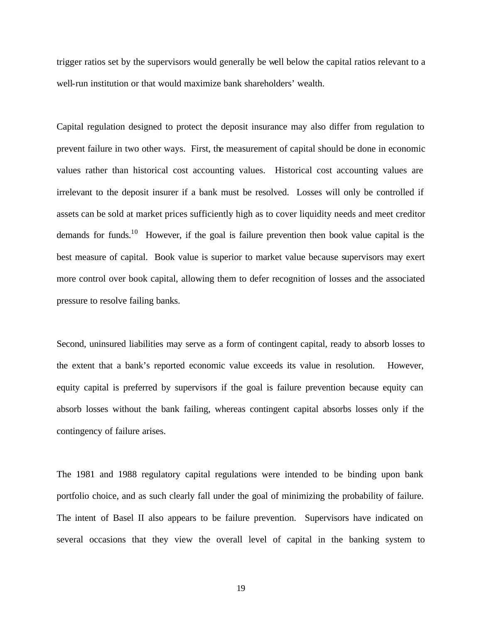trigger ratios set by the supervisors would generally be well below the capital ratios relevant to a well-run institution or that would maximize bank shareholders' wealth.

Capital regulation designed to protect the deposit insurance may also differ from regulation to prevent failure in two other ways. First, the measurement of capital should be done in economic values rather than historical cost accounting values. Historical cost accounting values are irrelevant to the deposit insurer if a bank must be resolved. Losses will only be controlled if assets can be sold at market prices sufficiently high as to cover liquidity needs and meet creditor demands for funds.<sup>10</sup> However, if the goal is failure prevention then book value capital is the best measure of capital. Book value is superior to market value because supervisors may exert more control over book capital, allowing them to defer recognition of losses and the associated pressure to resolve failing banks.

Second, uninsured liabilities may serve as a form of contingent capital, ready to absorb losses to the extent that a bank's reported economic value exceeds its value in resolution. However, equity capital is preferred by supervisors if the goal is failure prevention because equity can absorb losses without the bank failing, whereas contingent capital absorbs losses only if the contingency of failure arises.

The 1981 and 1988 regulatory capital regulations were intended to be binding upon bank portfolio choice, and as such clearly fall under the goal of minimizing the probability of failure. The intent of Basel II also appears to be failure prevention. Supervisors have indicated on several occasions that they view the overall level of capital in the banking system to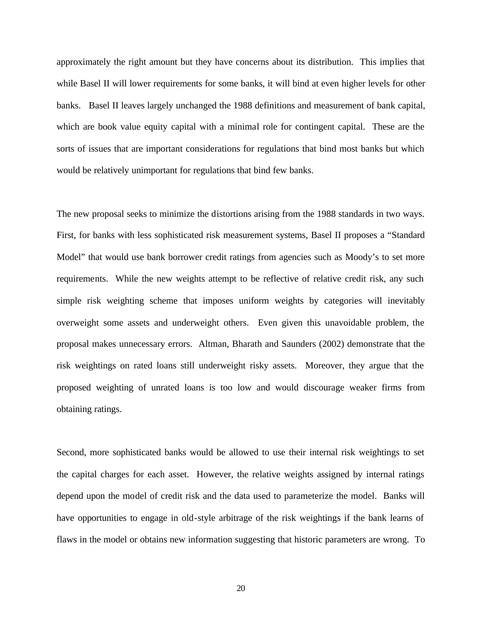approximately the right amount but they have concerns about its distribution. This implies that while Basel II will lower requirements for some banks, it will bind at even higher levels for other banks. Basel II leaves largely unchanged the 1988 definitions and measurement of bank capital, which are book value equity capital with a minimal role for contingent capital. These are the sorts of issues that are important considerations for regulations that bind most banks but which would be relatively unimportant for regulations that bind few banks.

The new proposal seeks to minimize the distortions arising from the 1988 standards in two ways. First, for banks with less sophisticated risk measurement systems, Basel II proposes a "Standard Model" that would use bank borrower credit ratings from agencies such as Moody's to set more requirements. While the new weights attempt to be reflective of relative credit risk, any such simple risk weighting scheme that imposes uniform weights by categories will inevitably overweight some assets and underweight others. Even given this unavoidable problem, the proposal makes unnecessary errors. Altman, Bharath and Saunders (2002) demonstrate that the risk weightings on rated loans still underweight risky assets. Moreover, they argue that the proposed weighting of unrated loans is too low and would discourage weaker firms from obtaining ratings.

Second, more sophisticated banks would be allowed to use their internal risk weightings to set the capital charges for each asset. However, the relative weights assigned by internal ratings depend upon the model of credit risk and the data used to parameterize the model. Banks will have opportunities to engage in old-style arbitrage of the risk weightings if the bank learns of flaws in the model or obtains new information suggesting that historic parameters are wrong. To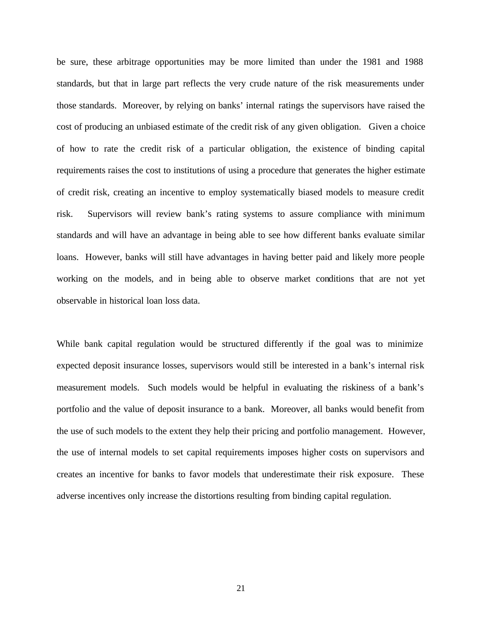be sure, these arbitrage opportunities may be more limited than under the 1981 and 1988 standards, but that in large part reflects the very crude nature of the risk measurements under those standards. Moreover, by relying on banks' internal ratings the supervisors have raised the cost of producing an unbiased estimate of the credit risk of any given obligation. Given a choice of how to rate the credit risk of a particular obligation, the existence of binding capital requirements raises the cost to institutions of using a procedure that generates the higher estimate of credit risk, creating an incentive to employ systematically biased models to measure credit risk. Supervisors will review bank's rating systems to assure compliance with minimum standards and will have an advantage in being able to see how different banks evaluate similar loans. However, banks will still have advantages in having better paid and likely more people working on the models, and in being able to observe market conditions that are not yet observable in historical loan loss data.

While bank capital regulation would be structured differently if the goal was to minimize expected deposit insurance losses, supervisors would still be interested in a bank's internal risk measurement models. Such models would be helpful in evaluating the riskiness of a bank's portfolio and the value of deposit insurance to a bank. Moreover, all banks would benefit from the use of such models to the extent they help their pricing and portfolio management. However, the use of internal models to set capital requirements imposes higher costs on supervisors and creates an incentive for banks to favor models that underestimate their risk exposure. These adverse incentives only increase the distortions resulting from binding capital regulation.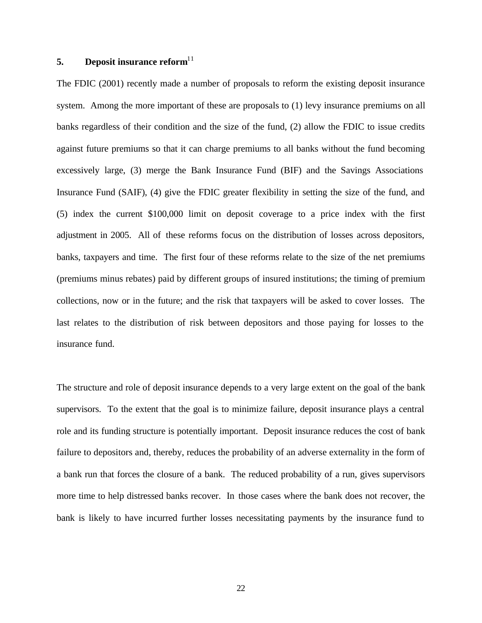#### **5. Deposit insurance reform**<sup>11</sup>

The FDIC (2001) recently made a number of proposals to reform the existing deposit insurance system. Among the more important of these are proposals to (1) levy insurance premiums on all banks regardless of their condition and the size of the fund, (2) allow the FDIC to issue credits against future premiums so that it can charge premiums to all banks without the fund becoming excessively large, (3) merge the Bank Insurance Fund (BIF) and the Savings Associations Insurance Fund (SAIF), (4) give the FDIC greater flexibility in setting the size of the fund, and (5) index the current \$100,000 limit on deposit coverage to a price index with the first adjustment in 2005. All of these reforms focus on the distribution of losses across depositors, banks, taxpayers and time. The first four of these reforms relate to the size of the net premiums (premiums minus rebates) paid by different groups of insured institutions; the timing of premium collections, now or in the future; and the risk that taxpayers will be asked to cover losses. The last relates to the distribution of risk between depositors and those paying for losses to the insurance fund.

The structure and role of deposit insurance depends to a very large extent on the goal of the bank supervisors. To the extent that the goal is to minimize failure, deposit insurance plays a central role and its funding structure is potentially important. Deposit insurance reduces the cost of bank failure to depositors and, thereby, reduces the probability of an adverse externality in the form of a bank run that forces the closure of a bank. The reduced probability of a run, gives supervisors more time to help distressed banks recover. In those cases where the bank does not recover, the bank is likely to have incurred further losses necessitating payments by the insurance fund to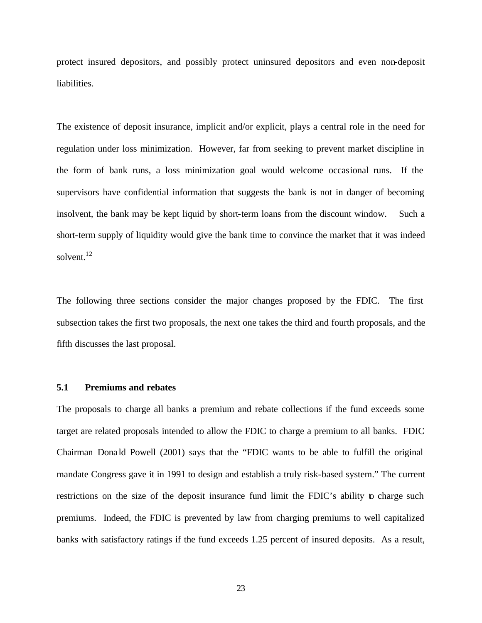protect insured depositors, and possibly protect uninsured depositors and even non-deposit liabilities.

The existence of deposit insurance, implicit and/or explicit, plays a central role in the need for regulation under loss minimization. However, far from seeking to prevent market discipline in the form of bank runs, a loss minimization goal would welcome occasional runs. If the supervisors have confidential information that suggests the bank is not in danger of becoming insolvent, the bank may be kept liquid by short-term loans from the discount window. Such a short-term supply of liquidity would give the bank time to convince the market that it was indeed solvent.<sup>12</sup>

The following three sections consider the major changes proposed by the FDIC. The first subsection takes the first two proposals, the next one takes the third and fourth proposals, and the fifth discusses the last proposal.

#### **5.1 Premiums and rebates**

The proposals to charge all banks a premium and rebate collections if the fund exceeds some target are related proposals intended to allow the FDIC to charge a premium to all banks. FDIC Chairman Donald Powell (2001) says that the "FDIC wants to be able to fulfill the original mandate Congress gave it in 1991 to design and establish a truly risk-based system." The current restrictions on the size of the deposit insurance fund limit the FDIC's ability to charge such premiums. Indeed, the FDIC is prevented by law from charging premiums to well capitalized banks with satisfactory ratings if the fund exceeds 1.25 percent of insured deposits. As a result,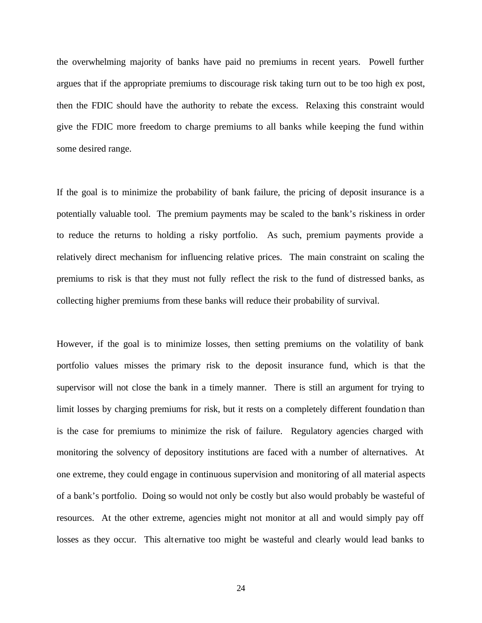the overwhelming majority of banks have paid no premiums in recent years. Powell further argues that if the appropriate premiums to discourage risk taking turn out to be too high ex post, then the FDIC should have the authority to rebate the excess. Relaxing this constraint would give the FDIC more freedom to charge premiums to all banks while keeping the fund within some desired range.

If the goal is to minimize the probability of bank failure, the pricing of deposit insurance is a potentially valuable tool. The premium payments may be scaled to the bank's riskiness in order to reduce the returns to holding a risky portfolio. As such, premium payments provide a relatively direct mechanism for influencing relative prices. The main constraint on scaling the premiums to risk is that they must not fully reflect the risk to the fund of distressed banks, as collecting higher premiums from these banks will reduce their probability of survival.

However, if the goal is to minimize losses, then setting premiums on the volatility of bank portfolio values misses the primary risk to the deposit insurance fund, which is that the supervisor will not close the bank in a timely manner. There is still an argument for trying to limit losses by charging premiums for risk, but it rests on a completely different foundation than is the case for premiums to minimize the risk of failure. Regulatory agencies charged with monitoring the solvency of depository institutions are faced with a number of alternatives. At one extreme, they could engage in continuous supervision and monitoring of all material aspects of a bank's portfolio. Doing so would not only be costly but also would probably be wasteful of resources. At the other extreme, agencies might not monitor at all and would simply pay off losses as they occur. This alternative too might be wasteful and clearly would lead banks to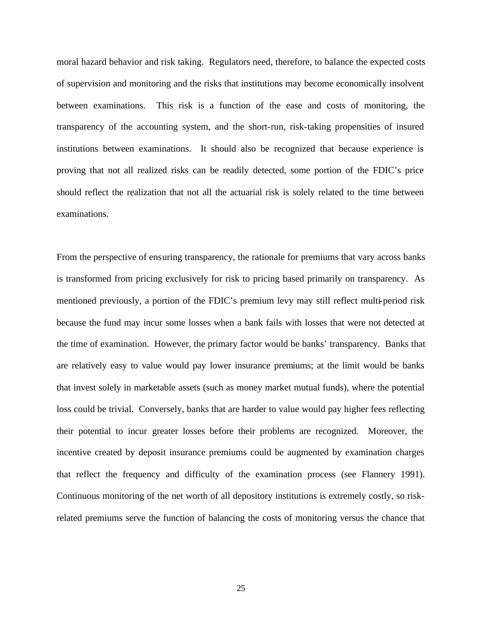moral hazard behavior and risk taking. Regulators need, therefore, to balance the expected costs of supervision and monitoring and the risks that institutions may become economically insolvent between examinations. This risk is a function of the ease and costs of monitoring, the transparency of the accounting system, and the short-run, risk-taking propensities of insured institutions between examinations. It should also be recognized that because experience is proving that not all realized risks can be readily detected, some portion of the FDIC's price should reflect the realization that not all the actuarial risk is solely related to the time between examinations.

From the perspective of ensuring transparency, the rationale for premiums that vary across banks is transformed from pricing exclusively for risk to pricing based primarily on transparency. As mentioned previously, a portion of the FDIC's premium levy may still reflect multi-period risk because the fund may incur some losses when a bank fails with losses that were not detected at the time of examination. However, the primary factor would be banks' transparency. Banks that are relatively easy to value would pay lower insurance premiums; at the limit would be banks that invest solely in marketable assets (such as money market mutual funds), where the potential loss could be trivial. Conversely, banks that are harder to value would pay higher fees reflecting their potential to incur greater losses before their problems are recognized. Moreover, the incentive created by deposit insurance premiums could be augmented by examination charges that reflect the frequency and difficulty of the examination process (see Flannery 1991). Continuous monitoring of the net worth of all depository institutions is extremely costly, so riskrelated premiums serve the function of balancing the costs of monitoring versus the chance that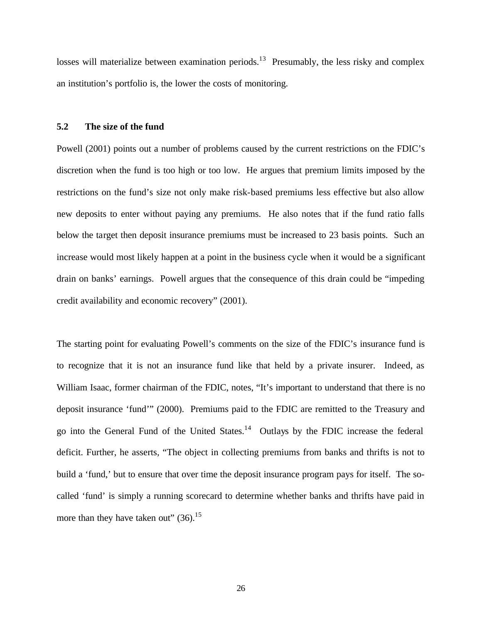losses will materialize between examination periods.<sup>13</sup> Presumably, the less risky and complex an institution's portfolio is, the lower the costs of monitoring.

#### **5.2 The size of the fund**

Powell (2001) points out a number of problems caused by the current restrictions on the FDIC's discretion when the fund is too high or too low. He argues that premium limits imposed by the restrictions on the fund's size not only make risk-based premiums less effective but also allow new deposits to enter without paying any premiums. He also notes that if the fund ratio falls below the target then deposit insurance premiums must be increased to 23 basis points. Such an increase would most likely happen at a point in the business cycle when it would be a significant drain on banks' earnings. Powell argues that the consequence of this drain could be "impeding credit availability and economic recovery" (2001).

The starting point for evaluating Powell's comments on the size of the FDIC's insurance fund is to recognize that it is not an insurance fund like that held by a private insurer. Indeed, as William Isaac, former chairman of the FDIC, notes, "It's important to understand that there is no deposit insurance 'fund'" (2000). Premiums paid to the FDIC are remitted to the Treasury and go into the General Fund of the United States.<sup>14</sup> Outlays by the FDIC increase the federal deficit. Further, he asserts, "The object in collecting premiums from banks and thrifts is not to build a 'fund,' but to ensure that over time the deposit insurance program pays for itself. The socalled 'fund' is simply a running scorecard to determine whether banks and thrifts have paid in more than they have taken out"  $(36)$ .<sup>15</sup>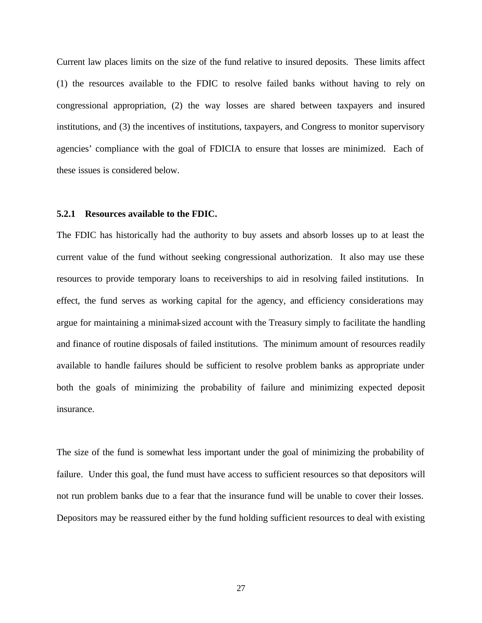Current law places limits on the size of the fund relative to insured deposits. These limits affect (1) the resources available to the FDIC to resolve failed banks without having to rely on congressional appropriation, (2) the way losses are shared between taxpayers and insured institutions, and (3) the incentives of institutions, taxpayers, and Congress to monitor supervisory agencies' compliance with the goal of FDICIA to ensure that losses are minimized. Each of these issues is considered below.

#### **5.2.1 Resources available to the FDIC.**

The FDIC has historically had the authority to buy assets and absorb losses up to at least the current value of the fund without seeking congressional authorization. It also may use these resources to provide temporary loans to receiverships to aid in resolving failed institutions. In effect, the fund serves as working capital for the agency, and efficiency considerations may argue for maintaining a minimal-sized account with the Treasury simply to facilitate the handling and finance of routine disposals of failed institutions. The minimum amount of resources readily available to handle failures should be sufficient to resolve problem banks as appropriate under both the goals of minimizing the probability of failure and minimizing expected deposit insurance.

The size of the fund is somewhat less important under the goal of minimizing the probability of failure. Under this goal, the fund must have access to sufficient resources so that depositors will not run problem banks due to a fear that the insurance fund will be unable to cover their losses. Depositors may be reassured either by the fund holding sufficient resources to deal with existing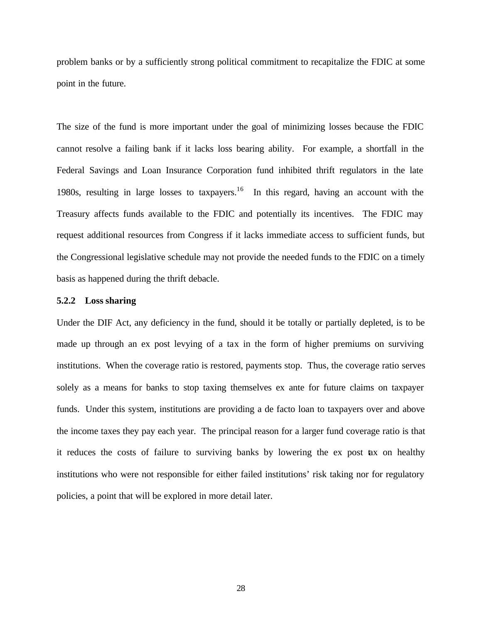problem banks or by a sufficiently strong political commitment to recapitalize the FDIC at some point in the future.

The size of the fund is more important under the goal of minimizing losses because the FDIC cannot resolve a failing bank if it lacks loss bearing ability. For example, a shortfall in the Federal Savings and Loan Insurance Corporation fund inhibited thrift regulators in the late 1980s, resulting in large losses to taxpayers.<sup>16</sup> In this regard, having an account with the Treasury affects funds available to the FDIC and potentially its incentives. The FDIC may request additional resources from Congress if it lacks immediate access to sufficient funds, but the Congressional legislative schedule may not provide the needed funds to the FDIC on a timely basis as happened during the thrift debacle.

#### **5.2.2 Loss sharing**

Under the DIF Act, any deficiency in the fund, should it be totally or partially depleted, is to be made up through an ex post levying of a tax in the form of higher premiums on surviving institutions. When the coverage ratio is restored, payments stop. Thus, the coverage ratio serves solely as a means for banks to stop taxing themselves ex ante for future claims on taxpayer funds. Under this system, institutions are providing a de facto loan to taxpayers over and above the income taxes they pay each year. The principal reason for a larger fund coverage ratio is that it reduces the costs of failure to surviving banks by lowering the ex post tax on healthy institutions who were not responsible for either failed institutions' risk taking nor for regulatory policies, a point that will be explored in more detail later.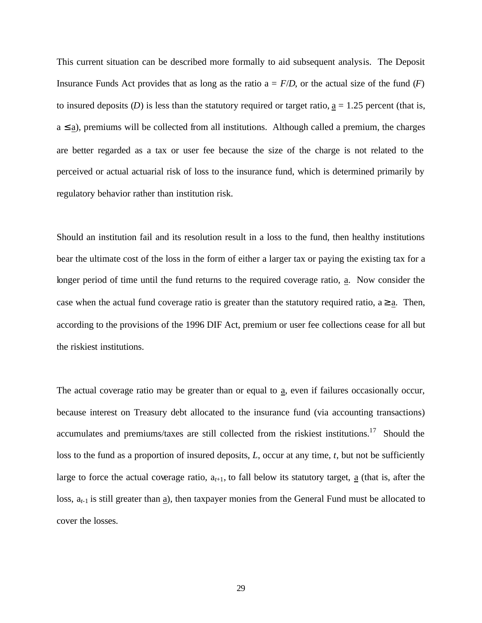This current situation can be described more formally to aid subsequent analysis. The Deposit Insurance Funds Act provides that as long as the ratio  $a = F/D$ , or the actual size of the fund  $(F)$ to insured deposits (*D*) is less than the statutory required or target ratio,  $a = 1.25$  percent (that is,  $a \le a$ ), premiums will be collected from all institutions. Although called a premium, the charges are better regarded as a tax or user fee because the size of the charge is not related to the perceived or actual actuarial risk of loss to the insurance fund, which is determined primarily by regulatory behavior rather than institution risk.

Should an institution fail and its resolution result in a loss to the fund, then healthy institutions bear the ultimate cost of the loss in the form of either a larger tax or paying the existing tax for a longer period of time until the fund returns to the required coverage ratio, a. Now consider the case when the actual fund coverage ratio is greater than the statutory required ratio,  $a \ge a$ . Then, according to the provisions of the 1996 DIF Act, premium or user fee collections cease for all but the riskiest institutions.

The actual coverage ratio may be greater than or equal to a, even if failures occasionally occur, because interest on Treasury debt allocated to the insurance fund (via accounting transactions) accumulates and premiums/taxes are still collected from the riskiest institutions.<sup>17</sup> Should the loss to the fund as a proportion of insured deposits, *L*, occur at any time, *t*, but not be sufficiently large to force the actual coverage ratio, a*t*+1, to fall below its statutory target, a (that is, after the loss, a*t*-1 is still greater than a), then taxpayer monies from the General Fund must be allocated to cover the losses.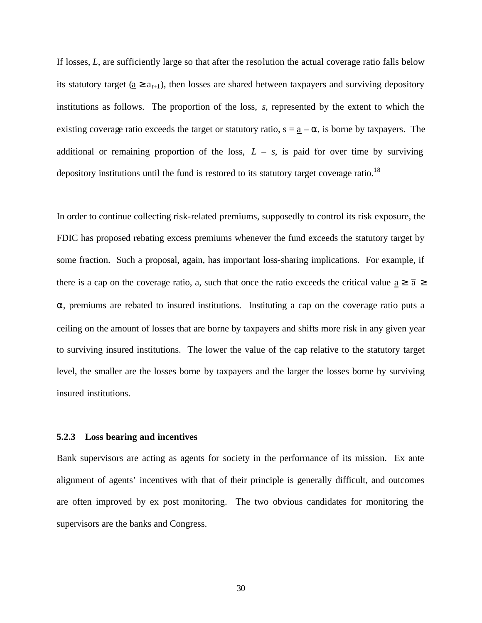If losses, *L*, are sufficiently large so that after the resolution the actual coverage ratio falls below its statutory target ( $a \ge a_{t+1}$ ), then losses are shared between taxpayers and surviving depository institutions as follows. The proportion of the loss, *s*, represented by the extent to which the existing coverage ratio exceeds the target or statutory ratio,  $s = \underline{a} - \alpha$ , is borne by taxpayers. The additional or remaining proportion of the loss,  $L - s$ , is paid for over time by surviving depository institutions until the fund is restored to its statutory target coverage ratio.<sup>18</sup>

In order to continue collecting risk-related premiums, supposedly to control its risk exposure, the FDIC has proposed rebating excess premiums whenever the fund exceeds the statutory target by some fraction. Such a proposal, again, has important loss-sharing implications. For example, if there is a cap on the coverage ratio, a, such that once the ratio exceeds the critical value  $a \ge \overline{a} \ge$ α, premiums are rebated to insured institutions. Instituting a cap on the coverage ratio puts a ceiling on the amount of losses that are borne by taxpayers and shifts more risk in any given year to surviving insured institutions. The lower the value of the cap relative to the statutory target level, the smaller are the losses borne by taxpayers and the larger the losses borne by surviving insured institutions.

#### **5.2.3 Loss bearing and incentives**

Bank supervisors are acting as agents for society in the performance of its mission. Ex ante alignment of agents' incentives with that of their principle is generally difficult, and outcomes are often improved by ex post monitoring. The two obvious candidates for monitoring the supervisors are the banks and Congress.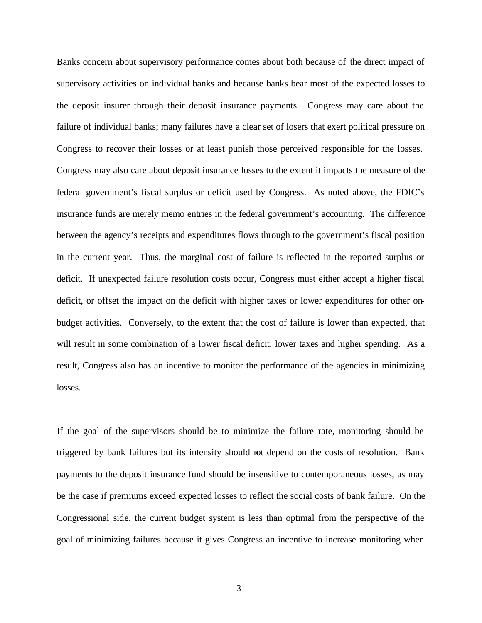Banks concern about supervisory performance comes about both because of the direct impact of supervisory activities on individual banks and because banks bear most of the expected losses to the deposit insurer through their deposit insurance payments. Congress may care about the failure of individual banks; many failures have a clear set of losers that exert political pressure on Congress to recover their losses or at least punish those perceived responsible for the losses. Congress may also care about deposit insurance losses to the extent it impacts the measure of the federal government's fiscal surplus or deficit used by Congress. As noted above, the FDIC's insurance funds are merely memo entries in the federal government's accounting. The difference between the agency's receipts and expenditures flows through to the government's fiscal position in the current year. Thus, the marginal cost of failure is reflected in the reported surplus or deficit. If unexpected failure resolution costs occur, Congress must either accept a higher fiscal deficit, or offset the impact on the deficit with higher taxes or lower expenditures for other onbudget activities. Conversely, to the extent that the cost of failure is lower than expected, that will result in some combination of a lower fiscal deficit, lower taxes and higher spending. As a result, Congress also has an incentive to monitor the performance of the agencies in minimizing losses.

If the goal of the supervisors should be to minimize the failure rate, monitoring should be triggered by bank failures but its intensity should not depend on the costs of resolution. Bank payments to the deposit insurance fund should be insensitive to contemporaneous losses, as may be the case if premiums exceed expected losses to reflect the social costs of bank failure. On the Congressional side, the current budget system is less than optimal from the perspective of the goal of minimizing failures because it gives Congress an incentive to increase monitoring when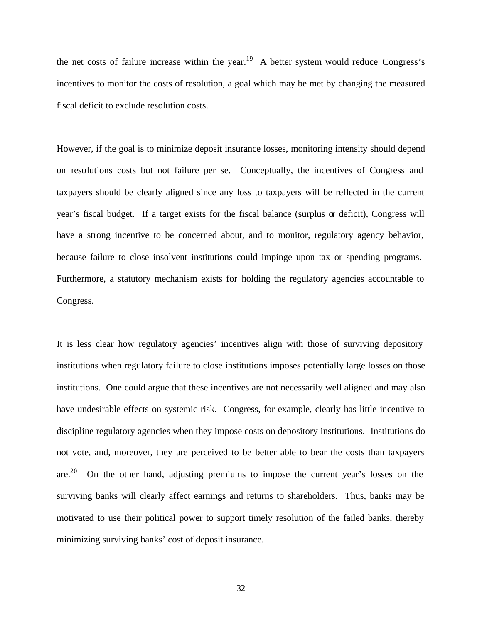the net costs of failure increase within the year.<sup>19</sup> A better system would reduce Congress's incentives to monitor the costs of resolution, a goal which may be met by changing the measured fiscal deficit to exclude resolution costs.

However, if the goal is to minimize deposit insurance losses, monitoring intensity should depend on resolutions costs but not failure per se. Conceptually, the incentives of Congress and taxpayers should be clearly aligned since any loss to taxpayers will be reflected in the current year's fiscal budget. If a target exists for the fiscal balance (surplus or deficit), Congress will have a strong incentive to be concerned about, and to monitor, regulatory agency behavior, because failure to close insolvent institutions could impinge upon tax or spending programs. Furthermore, a statutory mechanism exists for holding the regulatory agencies accountable to Congress.

It is less clear how regulatory agencies' incentives align with those of surviving depository institutions when regulatory failure to close institutions imposes potentially large losses on those institutions. One could argue that these incentives are not necessarily well aligned and may also have undesirable effects on systemic risk. Congress, for example, clearly has little incentive to discipline regulatory agencies when they impose costs on depository institutions. Institutions do not vote, and, moreover, they are perceived to be better able to bear the costs than taxpayers are. $20$  On the other hand, adjusting premiums to impose the current year's losses on the surviving banks will clearly affect earnings and returns to shareholders. Thus, banks may be motivated to use their political power to support timely resolution of the failed banks, thereby minimizing surviving banks' cost of deposit insurance.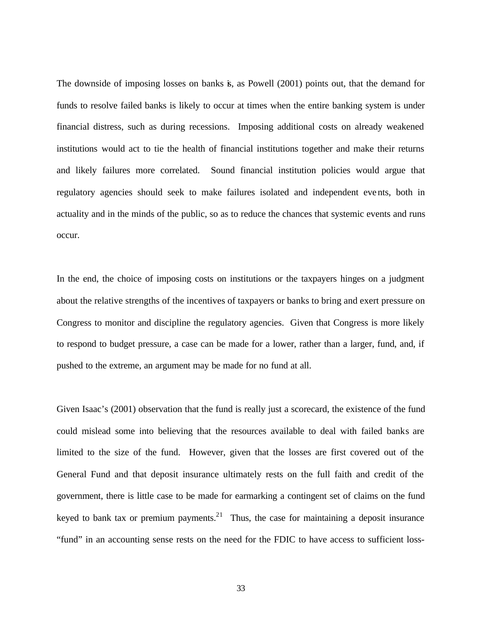The downside of imposing losses on banks is, as Powell (2001) points out, that the demand for funds to resolve failed banks is likely to occur at times when the entire banking system is under financial distress, such as during recessions. Imposing additional costs on already weakened institutions would act to tie the health of financial institutions together and make their returns and likely failures more correlated. Sound financial institution policies would argue that regulatory agencies should seek to make failures isolated and independent events, both in actuality and in the minds of the public, so as to reduce the chances that systemic events and runs occur.

In the end, the choice of imposing costs on institutions or the taxpayers hinges on a judgment about the relative strengths of the incentives of taxpayers or banks to bring and exert pressure on Congress to monitor and discipline the regulatory agencies. Given that Congress is more likely to respond to budget pressure, a case can be made for a lower, rather than a larger, fund, and, if pushed to the extreme, an argument may be made for no fund at all.

Given Isaac's (2001) observation that the fund is really just a scorecard, the existence of the fund could mislead some into believing that the resources available to deal with failed banks are limited to the size of the fund. However, given that the losses are first covered out of the General Fund and that deposit insurance ultimately rests on the full faith and credit of the government, there is little case to be made for earmarking a contingent set of claims on the fund keyed to bank tax or premium payments.<sup>21</sup> Thus, the case for maintaining a deposit insurance "fund" in an accounting sense rests on the need for the FDIC to have access to sufficient loss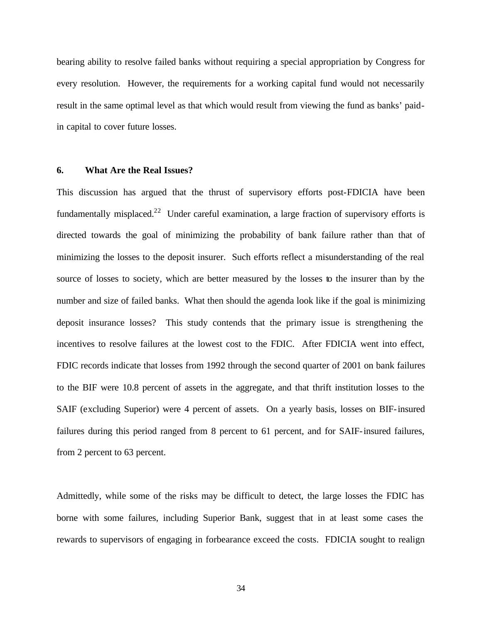bearing ability to resolve failed banks without requiring a special appropriation by Congress for every resolution. However, the requirements for a working capital fund would not necessarily result in the same optimal level as that which would result from viewing the fund as banks' paidin capital to cover future losses.

#### **6. What Are the Real Issues?**

This discussion has argued that the thrust of supervisory efforts post-FDICIA have been fundamentally misplaced.<sup>22</sup> Under careful examination, a large fraction of supervisory efforts is directed towards the goal of minimizing the probability of bank failure rather than that of minimizing the losses to the deposit insurer. Such efforts reflect a misunderstanding of the real source of losses to society, which are better measured by the losses to the insurer than by the number and size of failed banks. What then should the agenda look like if the goal is minimizing deposit insurance losses? This study contends that the primary issue is strengthening the incentives to resolve failures at the lowest cost to the FDIC. After FDICIA went into effect, FDIC records indicate that losses from 1992 through the second quarter of 2001 on bank failures to the BIF were 10.8 percent of assets in the aggregate, and that thrift institution losses to the SAIF (excluding Superior) were 4 percent of assets. On a yearly basis, losses on BIF-insured failures during this period ranged from 8 percent to 61 percent, and for SAIF-insured failures, from 2 percent to 63 percent.

Admittedly, while some of the risks may be difficult to detect, the large losses the FDIC has borne with some failures, including Superior Bank, suggest that in at least some cases the rewards to supervisors of engaging in forbearance exceed the costs. FDICIA sought to realign

34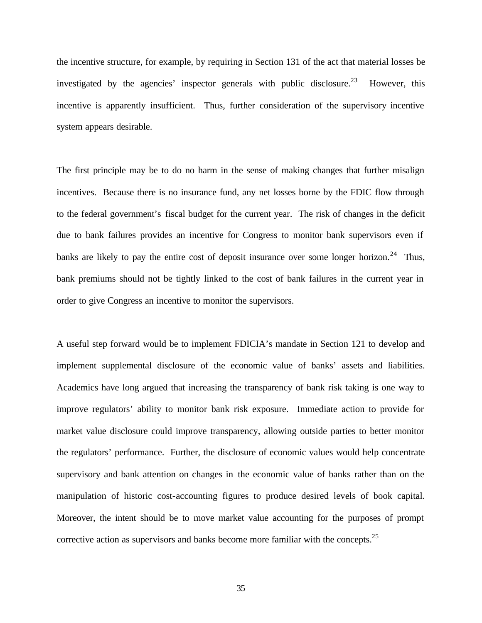the incentive structure, for example, by requiring in Section 131 of the act that material losses be investigated by the agencies' inspector generals with public disclosure.<sup>23</sup> However, this incentive is apparently insufficient. Thus, further consideration of the supervisory incentive system appears desirable.

The first principle may be to do no harm in the sense of making changes that further misalign incentives. Because there is no insurance fund, any net losses borne by the FDIC flow through to the federal government's fiscal budget for the current year. The risk of changes in the deficit due to bank failures provides an incentive for Congress to monitor bank supervisors even if banks are likely to pay the entire cost of deposit insurance over some longer horizon.<sup>24</sup> Thus, bank premiums should not be tightly linked to the cost of bank failures in the current year in order to give Congress an incentive to monitor the supervisors.

A useful step forward would be to implement FDICIA's mandate in Section 121 to develop and implement supplemental disclosure of the economic value of banks' assets and liabilities. Academics have long argued that increasing the transparency of bank risk taking is one way to improve regulators' ability to monitor bank risk exposure. Immediate action to provide for market value disclosure could improve transparency, allowing outside parties to better monitor the regulators' performance. Further, the disclosure of economic values would help concentrate supervisory and bank attention on changes in the economic value of banks rather than on the manipulation of historic cost-accounting figures to produce desired levels of book capital. Moreover, the intent should be to move market value accounting for the purposes of prompt corrective action as supervisors and banks become more familiar with the concepts.<sup>25</sup>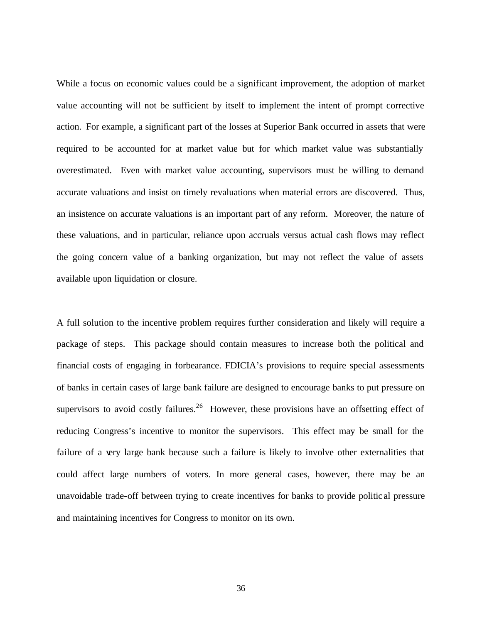While a focus on economic values could be a significant improvement, the adoption of market value accounting will not be sufficient by itself to implement the intent of prompt corrective action. For example, a significant part of the losses at Superior Bank occurred in assets that were required to be accounted for at market value but for which market value was substantially overestimated. Even with market value accounting, supervisors must be willing to demand accurate valuations and insist on timely revaluations when material errors are discovered. Thus, an insistence on accurate valuations is an important part of any reform. Moreover, the nature of these valuations, and in particular, reliance upon accruals versus actual cash flows may reflect the going concern value of a banking organization, but may not reflect the value of assets available upon liquidation or closure.

A full solution to the incentive problem requires further consideration and likely will require a package of steps. This package should contain measures to increase both the political and financial costs of engaging in forbearance. FDICIA's provisions to require special assessments of banks in certain cases of large bank failure are designed to encourage banks to put pressure on supervisors to avoid costly failures.<sup>26</sup> However, these provisions have an offsetting effect of reducing Congress's incentive to monitor the supervisors. This effect may be small for the failure of a very large bank because such a failure is likely to involve other externalities that could affect large numbers of voters. In more general cases, however, there may be an unavoidable trade-off between trying to create incentives for banks to provide politic al pressure and maintaining incentives for Congress to monitor on its own.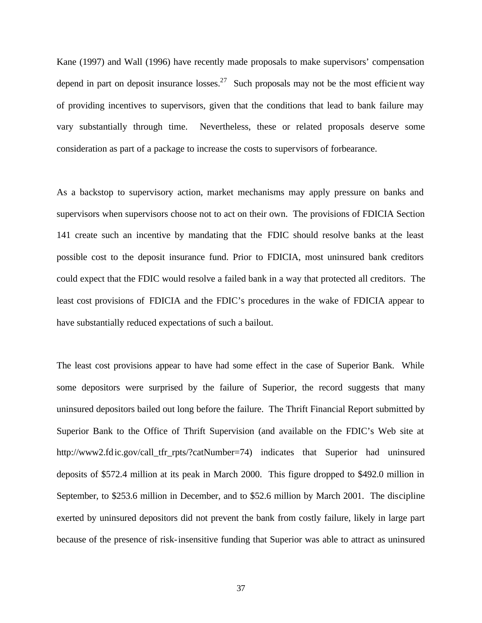Kane (1997) and Wall (1996) have recently made proposals to make supervisors' compensation depend in part on deposit insurance losses.<sup>27</sup> Such proposals may not be the most efficient way of providing incentives to supervisors, given that the conditions that lead to bank failure may vary substantially through time. Nevertheless, these or related proposals deserve some consideration as part of a package to increase the costs to supervisors of forbearance.

As a backstop to supervisory action, market mechanisms may apply pressure on banks and supervisors when supervisors choose not to act on their own. The provisions of FDICIA Section 141 create such an incentive by mandating that the FDIC should resolve banks at the least possible cost to the deposit insurance fund. Prior to FDICIA, most uninsured bank creditors could expect that the FDIC would resolve a failed bank in a way that protected all creditors. The least cost provisions of FDICIA and the FDIC's procedures in the wake of FDICIA appear to have substantially reduced expectations of such a bailout.

The least cost provisions appear to have had some effect in the case of Superior Bank. While some depositors were surprised by the failure of Superior, the record suggests that many uninsured depositors bailed out long before the failure. The Thrift Financial Report submitted by Superior Bank to the Office of Thrift Supervision (and available on the FDIC's Web site at http://www2.fdic.gov/call\_tfr\_rpts/?catNumber=74) indicates that Superior had uninsured deposits of \$572.4 million at its peak in March 2000. This figure dropped to \$492.0 million in September, to \$253.6 million in December, and to \$52.6 million by March 2001. The discipline exerted by uninsured depositors did not prevent the bank from costly failure, likely in large part because of the presence of risk-insensitive funding that Superior was able to attract as uninsured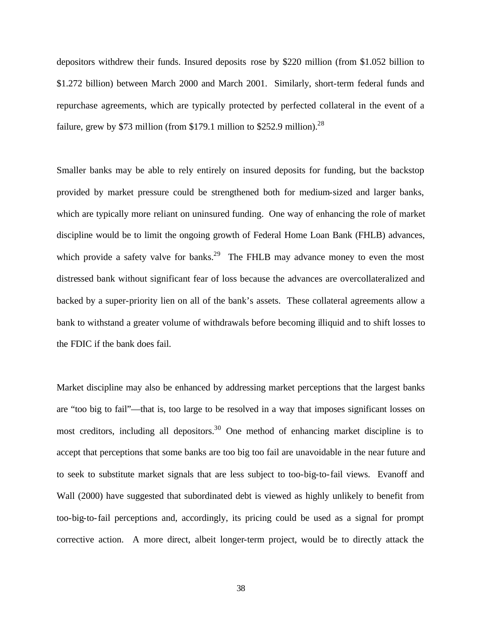depositors withdrew their funds. Insured deposits rose by \$220 million (from \$1.052 billion to \$1.272 billion) between March 2000 and March 2001. Similarly, short-term federal funds and repurchase agreements, which are typically protected by perfected collateral in the event of a failure, grew by \$73 million (from \$179.1 million to \$252.9 million).<sup>28</sup>

Smaller banks may be able to rely entirely on insured deposits for funding, but the backstop provided by market pressure could be strengthened both for medium-sized and larger banks, which are typically more reliant on uninsured funding. One way of enhancing the role of market discipline would be to limit the ongoing growth of Federal Home Loan Bank (FHLB) advances, which provide a safety valve for banks.<sup>29</sup> The FHLB may advance money to even the most distressed bank without significant fear of loss because the advances are overcollateralized and backed by a super-priority lien on all of the bank's assets. These collateral agreements allow a bank to withstand a greater volume of withdrawals before becoming illiquid and to shift losses to the FDIC if the bank does fail.

Market discipline may also be enhanced by addressing market perceptions that the largest banks are "too big to fail"—that is, too large to be resolved in a way that imposes significant losses on most creditors, including all depositors.<sup>30</sup> One method of enhancing market discipline is to accept that perceptions that some banks are too big too fail are unavoidable in the near future and to seek to substitute market signals that are less subject to too-big-to-fail views. Evanoff and Wall (2000) have suggested that subordinated debt is viewed as highly unlikely to benefit from too-big-to-fail perceptions and, accordingly, its pricing could be used as a signal for prompt corrective action. A more direct, albeit longer-term project, would be to directly attack the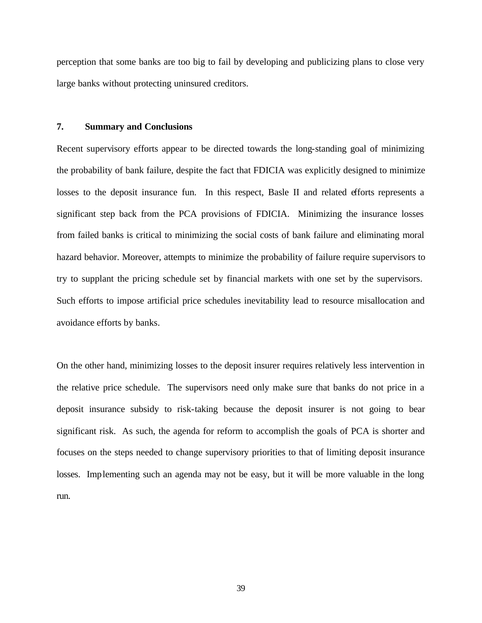perception that some banks are too big to fail by developing and publicizing plans to close very large banks without protecting uninsured creditors.

#### **7. Summary and Conclusions**

Recent supervisory efforts appear to be directed towards the long-standing goal of minimizing the probability of bank failure, despite the fact that FDICIA was explicitly designed to minimize losses to the deposit insurance fun. In this respect, Basle II and related efforts represents a significant step back from the PCA provisions of FDICIA. Minimizing the insurance losses from failed banks is critical to minimizing the social costs of bank failure and eliminating moral hazard behavior. Moreover, attempts to minimize the probability of failure require supervisors to try to supplant the pricing schedule set by financial markets with one set by the supervisors. Such efforts to impose artificial price schedules inevitability lead to resource misallocation and avoidance efforts by banks.

On the other hand, minimizing losses to the deposit insurer requires relatively less intervention in the relative price schedule. The supervisors need only make sure that banks do not price in a deposit insurance subsidy to risk-taking because the deposit insurer is not going to bear significant risk. As such, the agenda for reform to accomplish the goals of PCA is shorter and focuses on the steps needed to change supervisory priorities to that of limiting deposit insurance losses. Implementing such an agenda may not be easy, but it will be more valuable in the long run.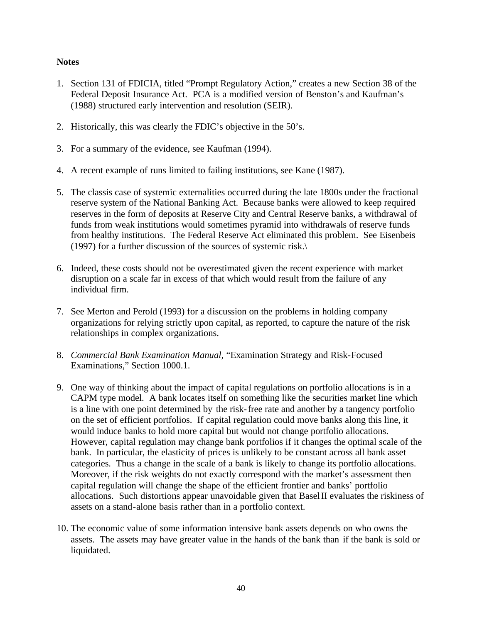# **Notes**

- 1. Section 131 of FDICIA, titled "Prompt Regulatory Action," creates a new Section 38 of the Federal Deposit Insurance Act. PCA is a modified version of Benston's and Kaufman's (1988) structured early intervention and resolution (SEIR).
- 2. Historically, this was clearly the FDIC's objective in the 50's.
- 3. For a summary of the evidence, see Kaufman (1994).
- 4. A recent example of runs limited to failing institutions, see Kane (1987).
- 5. The classis case of systemic externalities occurred during the late 1800s under the fractional reserve system of the National Banking Act. Because banks were allowed to keep required reserves in the form of deposits at Reserve City and Central Reserve banks, a withdrawal of funds from weak institutions would sometimes pyramid into withdrawals of reserve funds from healthy institutions. The Federal Reserve Act eliminated this problem. See Eisenbeis (1997) for a further discussion of the sources of systemic risk.\
- 6. Indeed, these costs should not be overestimated given the recent experience with market disruption on a scale far in excess of that which would result from the failure of any individual firm.
- 7. See Merton and Perold (1993) for a discussion on the problems in holding company organizations for relying strictly upon capital, as reported, to capture the nature of the risk relationships in complex organizations.
- 8. *Commercial Bank Examination Manual,* "Examination Strategy and Risk-Focused Examinations," Section 1000.1.
- 9. One way of thinking about the impact of capital regulations on portfolio allocations is in a CAPM type model. A bank locates itself on something like the securities market line which is a line with one point determined by the risk-free rate and another by a tangency portfolio on the set of efficient portfolios. If capital regulation could move banks along this line, it would induce banks to hold more capital but would not change portfolio allocations. However, capital regulation may change bank portfolios if it changes the optimal scale of the bank. In particular, the elasticity of prices is unlikely to be constant across all bank asset categories. Thus a change in the scale of a bank is likely to change its portfolio allocations. Moreover, if the risk weights do not exactly correspond with the market's assessment then capital regulation will change the shape of the efficient frontier and banks' portfolio allocations. Such distortions appear unavoidable given that Basel II evaluates the riskiness of assets on a stand-alone basis rather than in a portfolio context.
- 10. The economic value of some information intensive bank assets depends on who owns the assets. The assets may have greater value in the hands of the bank than if the bank is sold or liquidated.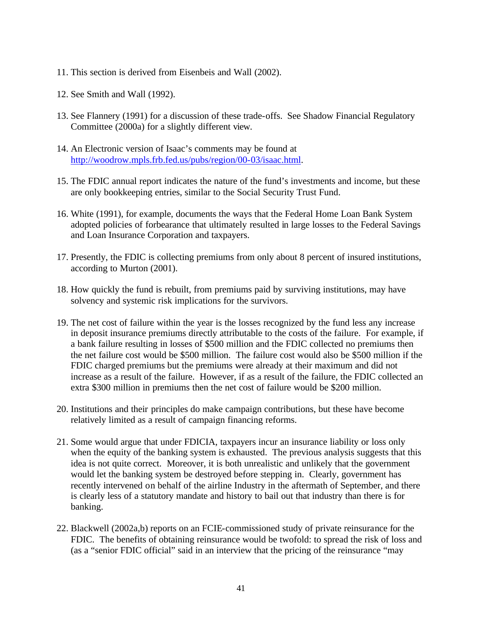- 11. This section is derived from Eisenbeis and Wall (2002).
- 12. See Smith and Wall (1992).
- 13. See Flannery (1991) for a discussion of these trade-offs. See Shadow Financial Regulatory Committee (2000a) for a slightly different view.
- 14. An Electronic version of Isaac's comments may be found at http://woodrow.mpls.frb.fed.us/pubs/region/00-03/isaac.html.
- 15. The FDIC annual report indicates the nature of the fund's investments and income, but these are only bookkeeping entries, similar to the Social Security Trust Fund.
- 16. White (1991), for example, documents the ways that the Federal Home Loan Bank System adopted policies of forbearance that ultimately resulted in large losses to the Federal Savings and Loan Insurance Corporation and taxpayers.
- 17. Presently, the FDIC is collecting premiums from only about 8 percent of insured institutions, according to Murton (2001).
- 18. How quickly the fund is rebuilt, from premiums paid by surviving institutions, may have solvency and systemic risk implications for the survivors.
- 19. The net cost of failure within the year is the losses recognized by the fund less any increase in deposit insurance premiums directly attributable to the costs of the failure. For example, if a bank failure resulting in losses of \$500 million and the FDIC collected no premiums then the net failure cost would be \$500 million. The failure cost would also be \$500 million if the FDIC charged premiums but the premiums were already at their maximum and did not increase as a result of the failure. However, if as a result of the failure, the FDIC collected an extra \$300 million in premiums then the net cost of failure would be \$200 million.
- 20. Institutions and their principles do make campaign contributions, but these have become relatively limited as a result of campaign financing reforms.
- 21. Some would argue that under FDICIA, taxpayers incur an insurance liability or loss only when the equity of the banking system is exhausted. The previous analysis suggests that this idea is not quite correct. Moreover, it is both unrealistic and unlikely that the government would let the banking system be destroyed before stepping in. Clearly, government has recently intervened on behalf of the airline Industry in the aftermath of September, and there is clearly less of a statutory mandate and history to bail out that industry than there is for banking.
- 22. Blackwell (2002a,b) reports on an FCIE-commissioned study of private reinsurance for the FDIC. The benefits of obtaining reinsurance would be twofold: to spread the risk of loss and (as a "senior FDIC official" said in an interview that the pricing of the reinsurance "may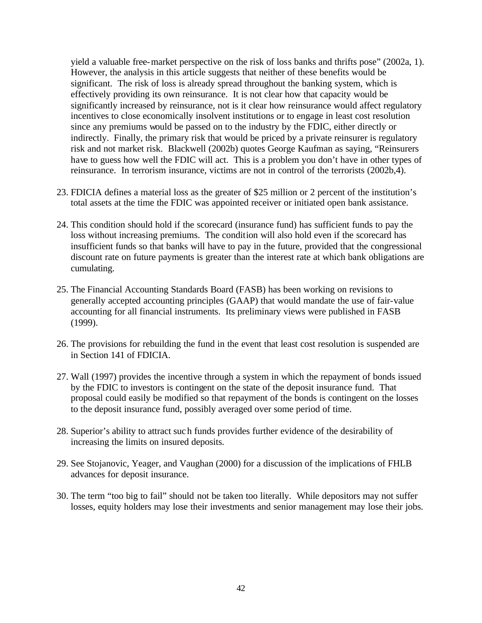yield a valuable free-market perspective on the risk of loss banks and thrifts pose" (2002a, 1). However, the analysis in this article suggests that neither of these benefits would be significant. The risk of loss is already spread throughout the banking system, which is effectively providing its own reinsurance. It is not clear how that capacity would be significantly increased by reinsurance, not is it clear how reinsurance would affect regulatory incentives to close economically insolvent institutions or to engage in least cost resolution since any premiums would be passed on to the industry by the FDIC, either directly or indirectly. Finally, the primary risk that would be priced by a private reinsurer is regulatory risk and not market risk. Blackwell (2002b) quotes George Kaufman as saying, "Reinsurers have to guess how well the FDIC will act. This is a problem you don't have in other types of reinsurance. In terrorism insurance, victims are not in control of the terrorists (2002b,4).

- 23. FDICIA defines a material loss as the greater of \$25 million or 2 percent of the institution's total assets at the time the FDIC was appointed receiver or initiated open bank assistance.
- 24. This condition should hold if the scorecard (insurance fund) has sufficient funds to pay the loss without increasing premiums. The condition will also hold even if the scorecard has insufficient funds so that banks will have to pay in the future, provided that the congressional discount rate on future payments is greater than the interest rate at which bank obligations are cumulating.
- 25. The Financial Accounting Standards Board (FASB) has been working on revisions to generally accepted accounting principles (GAAP) that would mandate the use of fair-value accounting for all financial instruments. Its preliminary views were published in FASB (1999).
- 26. The provisions for rebuilding the fund in the event that least cost resolution is suspended are in Section 141 of FDICIA.
- 27. Wall (1997) provides the incentive through a system in which the repayment of bonds issued by the FDIC to investors is contingent on the state of the deposit insurance fund. That proposal could easily be modified so that repayment of the bonds is contingent on the losses to the deposit insurance fund, possibly averaged over some period of time.
- 28. Superior's ability to attract such funds provides further evidence of the desirability of increasing the limits on insured deposits.
- 29. See Stojanovic, Yeager, and Vaughan (2000) for a discussion of the implications of FHLB advances for deposit insurance.
- 30. The term "too big to fail" should not be taken too literally. While depositors may not suffer losses, equity holders may lose their investments and senior management may lose their jobs.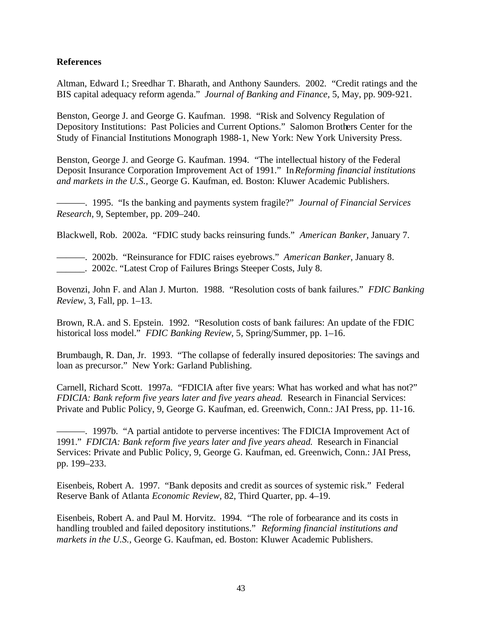## **References**

Altman, Edward I.; Sreedhar T. Bharath, and Anthony Saunders. 2002. "Credit ratings and the BIS capital adequacy reform agenda." *Journal of Banking and Finance,* 5, May, pp. 909-921.

Benston, George J. and George G. Kaufman. 1998. "Risk and Solvency Regulation of Depository Institutions: Past Policies and Current Options." Salomon Brothers Center for the Study of Financial Institutions Monograph 1988-1, New York: New York University Press.

Benston, George J. and George G. Kaufman. 1994. "The intellectual history of the Federal Deposit Insurance Corporation Improvement Act of 1991." In*Reforming financial institutions and markets in the U.S.,* George G. Kaufman, ed. Boston: Kluwer Academic Publishers.

———. 1995. "Is the banking and payments system fragile?" *Journal of Financial Services Research,* 9, September, pp. 209–240.

Blackwell, Rob. 2002a. "FDIC study backs reinsuring funds." *American Banker,* January 7.

———. 2002b. "Reinsurance for FDIC raises eyebrows." *American Banker,* January 8. \_\_\_\_\_\_. 2002c. "Latest Crop of Failures Brings Steeper Costs, July 8.

Bovenzi, John F. and Alan J. Murton. 1988. "Resolution costs of bank failures." *FDIC Banking Review,* 3, Fall, pp. 1–13.

Brown, R.A. and S. Epstein. 1992. "Resolution costs of bank failures: An update of the FDIC historical loss model." *FDIC Banking Review,* 5, Spring/Summer, pp. 1–16.

Brumbaugh, R. Dan, Jr. 1993. "The collapse of federally insured depositories: The savings and loan as precursor." New York: Garland Publishing.

Carnell, Richard Scott. 1997a. "FDICIA after five years: What has worked and what has not?" *FDICIA: Bank reform five years later and five years ahead.* Research in Financial Services: Private and Public Policy, 9, George G. Kaufman, ed. Greenwich, Conn.: JAI Press, pp. 11-16.

———. 1997b. "A partial antidote to perverse incentives: The FDICIA Improvement Act of 1991." *FDICIA: Bank reform five years later and five years ahead.* Research in Financial Services: Private and Public Policy, 9, George G. Kaufman, ed. Greenwich, Conn.: JAI Press, pp. 199–233.

Eisenbeis, Robert A. 1997. "Bank deposits and credit as sources of systemic risk." Federal Reserve Bank of Atlanta *Economic Review,* 82, Third Quarter, pp. 4–19.

Eisenbeis, Robert A. and Paul M. Horvitz. 1994. "The role of forbearance and its costs in handling troubled and failed depository institutions." *Reforming financial institutions and markets in the U.S.,* George G. Kaufman, ed. Boston: Kluwer Academic Publishers.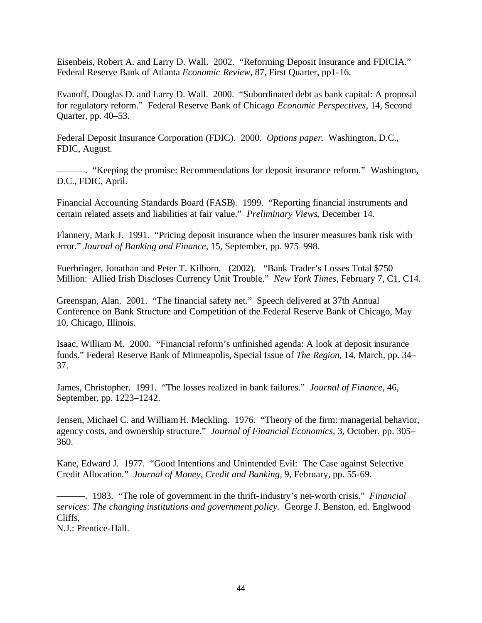Eisenbeis, Robert A. and Larry D. Wall. 2002. "Reforming Deposit Insurance and FDICIA." Federal Reserve Bank of Atlanta *Economic Review*, 87, First Quarter, pp1-16.

Evanoff, Douglas D. and Larry D. Wall. 2000. "Subordinated debt as bank capital: A proposal for regulatory reform." Federal Reserve Bank of Chicago *Economic Perspectives,* 14, Second Quarter, pp. 40–53.

Federal Deposit Insurance Corporation (FDIC). 2000. *Options paper*. Washington, D.C., FDIC, August.

———. "Keeping the promise: Recommendations for deposit insurance reform." Washington, D.C., FDIC, April.

Financial Accounting Standards Board (FASB). 1999. "Reporting financial instruments and certain related assets and liabilities at fair value." *Preliminary Views*, December 14.

Flannery, Mark J. 1991. "Pricing deposit insurance when the insurer measures bank risk with error." *Journal of Banking and Finance,* 15, September, pp. 975–998.

Fuerbringer, Jonathan and Peter T. Kilborn. (2002). "Bank Trader's Losses Total \$750 Million: Allied Irish Discloses Currency Unit Trouble." *New York Times,* February 7, C1, C14.

Greenspan, Alan. 2001. "The financial safety net." Speech delivered at 37th Annual Conference on Bank Structure and Competition of the Federal Reserve Bank of Chicago, May 10, Chicago, Illinois.

Isaac, William M. 2000. "Financial reform's unfinished agenda: A look at deposit insurance funds." Federal Reserve Bank of Minneapolis, Special Issue of *The Region,* 14, March, pp. 34– 37.

James, Christopher. 1991. "The losses realized in bank failures." *Journal of Finance,* 46, September, pp. 1223–1242.

Jensen, Michael C. and William H. Meckling. 1976. "Theory of the firm: managerial behavior, agency costs, and ownership structure." *Journal of Financial Economics,* 3, October, pp. 305– 360.

Kane, Edward J. 1977. "Good Intentions and Unintended Evil: The Case against Selective Credit Allocation." *Journal of Money, Credit and Banking,* 9, February, pp. 55-69.

———. 1983. "The role of government in the thrift-industry's net-worth crisis." *Financial services: The changing institutions and government policy.* George J. Benston, ed. Englwood Cliffs,

N.J.: Prentice-Hall.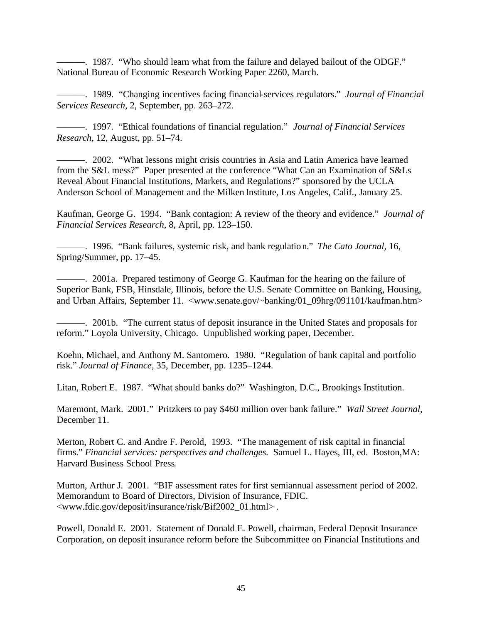———. 1987. "Who should learn what from the failure and delayed bailout of the ODGF." National Bureau of Economic Research Working Paper 2260, March.

———. 1989. "Changing incentives facing financial-services regulators." *Journal of Financial Services Research,* 2, September, pp. 263–272.

———. 1997. "Ethical foundations of financial regulation." *Journal of Financial Services Research,* 12, August, pp. 51–74.

———. 2002. "What lessons might crisis countries in Asia and Latin America have learned from the S&L mess?" Paper presented at the conference "What Can an Examination of S&Ls Reveal About Financial Institutions, Markets, and Regulations?" sponsored by the UCLA Anderson School of Management and the Milken Institute, Los Angeles, Calif., January 25.

Kaufman, George G. 1994. "Bank contagion: A review of the theory and evidence." *Journal of Financial Services Research,* 8, April, pp. 123–150.

———. 1996. "Bank failures, systemic risk, and bank regulation." *The Cato Journal,* 16, Spring/Summer, pp. 17–45.

———. 2001a. Prepared testimony of George G. Kaufman for the hearing on the failure of Superior Bank, FSB, Hinsdale, Illinois, before the U.S. Senate Committee on Banking, Housing, and Urban Affairs, September 11. <www.senate.gov/~banking/01\_09hrg/091101/kaufman.htm>

———. 2001b. "The current status of deposit insurance in the United States and proposals for reform." Loyola University, Chicago. Unpublished working paper, December.

Koehn, Michael, and Anthony M. Santomero. 1980. "Regulation of bank capital and portfolio risk." *Journal of Finance,* 35, December, pp. 1235–1244.

Litan, Robert E. 1987. "What should banks do?" Washington, D.C., Brookings Institution.

Maremont, Mark. 2001." Pritzkers to pay \$460 million over bank failure." *Wall Street Journal*, December 11.

Merton, Robert C. and Andre F. Perold, 1993. "The management of risk capital in financial firms." *Financial services: perspectives and challenges.* Samuel L. Hayes, III, ed. Boston,MA: Harvard Business School Press*.*

Murton, Arthur J. 2001. "BIF assessment rates for first semiannual assessment period of 2002. Memorandum to Board of Directors, Division of Insurance, FDIC. <www.fdic.gov/deposit/insurance/risk/Bif2002\_01.html> .

Powell, Donald E. 2001. Statement of Donald E. Powell, chairman, Federal Deposit Insurance Corporation, on deposit insurance reform before the Subcommittee on Financial Institutions and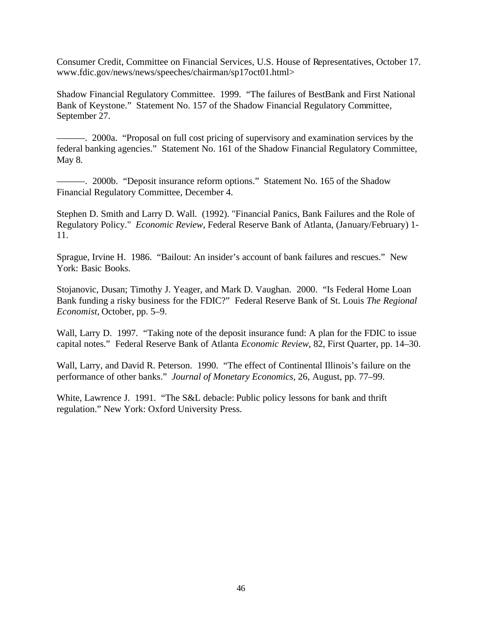Consumer Credit, Committee on Financial Services, U.S. House of Representatives, October 17. www.fdic.gov/news/news/speeches/chairman/sp17oct01.html>

Shadow Financial Regulatory Committee. 1999. "The failures of BestBank and First National Bank of Keystone." Statement No. 157 of the Shadow Financial Regulatory Committee, September 27.

———. 2000a. "Proposal on full cost pricing of supervisory and examination services by the federal banking agencies." Statement No. 161 of the Shadow Financial Regulatory Committee, May 8.

———. 2000b. "Deposit insurance reform options." Statement No. 165 of the Shadow Financial Regulatory Committee, December 4.

Stephen D. Smith and Larry D. Wall. (1992). "Financial Panics, Bank Failures and the Role of Regulatory Policy." *Economic Review*, Federal Reserve Bank of Atlanta, (January/February) 1- 11.

Sprague, Irvine H. 1986. "Bailout: An insider's account of bank failures and rescues." New York: Basic Books.

Stojanovic, Dusan; Timothy J. Yeager, and Mark D. Vaughan. 2000. "Is Federal Home Loan Bank funding a risky business for the FDIC?" Federal Reserve Bank of St. Louis *The Regional Economist,* October, pp. 5–9.

Wall, Larry D. 1997. "Taking note of the deposit insurance fund: A plan for the FDIC to issue capital notes." Federal Reserve Bank of Atlanta *Economic Review,* 82, First Quarter, pp. 14–30.

Wall, Larry, and David R. Peterson. 1990. "The effect of Continental Illinois's failure on the performance of other banks." *Journal of Monetary Economics,* 26, August, pp. 77–99.

White, Lawrence J. 1991. "The S&L debacle: Public policy lessons for bank and thrift regulation." New York: Oxford University Press.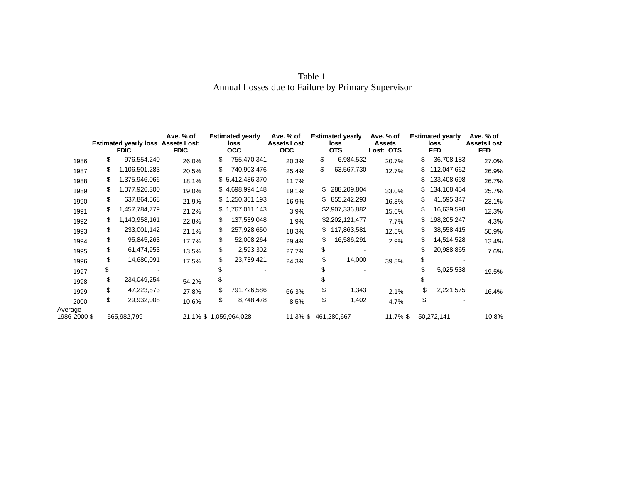|                                                    | Table 1 |  |  |  |
|----------------------------------------------------|---------|--|--|--|
| Annual Losses due to Failure by Primary Supervisor |         |  |  |  |

|                         |     | <b>Estimated yearly loss</b><br><b>FDIC</b> | Ave. % of<br><b>Assets Lost:</b><br><b>FDIC</b> |     | <b>Estimated yearly</b><br>loss<br><b>OCC</b> | Ave. % of<br><b>Assets Lost</b><br><b>OCC</b> | <b>Estimated yearly</b><br>loss<br><b>OTS</b> | Ave. % of<br>Assets<br>Lost: OTS |    | <b>Estimated yearly</b><br>loss<br>FED | Ave. % of<br><b>Assets Lost</b><br><b>FED</b> |
|-------------------------|-----|---------------------------------------------|-------------------------------------------------|-----|-----------------------------------------------|-----------------------------------------------|-----------------------------------------------|----------------------------------|----|----------------------------------------|-----------------------------------------------|
| 1986                    | \$  | 976,554,240                                 | 26.0%                                           | S   | 755,470,341                                   | 20.3%                                         | \$<br>6,984,532                               | 20.7%                            | \$ | 36,708,183                             | 27.0%                                         |
| 1987                    | \$  | 1,106,501,283                               | 20.5%                                           | \$. | 740,903,476                                   | 25.4%                                         | \$<br>63,567,730                              | 12.7%                            | \$ | 12,047,662                             | 26.9%                                         |
| 1988                    | \$  | 1,375,946,066                               | 18.1%                                           |     | \$ 5,412,436,370                              | 11.7%                                         |                                               |                                  |    | 133,408,698                            | 26.7%                                         |
| 1989                    | \$  | 1,077,926,300                               | 19.0%                                           |     | \$4,698,994,148                               | 19.1%                                         | \$<br>288,209,804                             | 33.0%                            |    | 134,168,454                            | 25.7%                                         |
| 1990                    | \$  | 637,864,568                                 | 21.9%                                           |     | \$1,250,361,193                               | 16.9%                                         | \$<br>855,242,293                             | 16.3%                            | \$ | 41,595,347                             | 23.1%                                         |
| 1991                    | \$  | 1,457,784,779                               | 21.2%                                           |     | \$1,767,011,143                               | 3.9%                                          | \$2,907,336,882                               | 15.6%                            | \$ | 16,639,598                             | 12.3%                                         |
| 1992                    | \$. | 1,140,958,161                               | 22.8%                                           | \$. | 137,539,048                                   | 1.9%                                          | \$2,202,121,477                               | 7.7%                             | \$ | 198,205,247                            | 4.3%                                          |
| 1993                    | \$  | 233,001,142                                 | 21.1%                                           | \$. | 257,928,650                                   | 18.3%                                         | \$<br>117,863,581                             | 12.5%                            | S. | 38,558,415                             | 50.9%                                         |
| 1994                    | \$  | 95,845,263                                  | 17.7%                                           | \$  | 52,008,264                                    | 29.4%                                         | \$<br>16,586,291                              | 2.9%                             | \$ | 14,514,528                             | 13.4%                                         |
| 1995                    | \$  | 61,474,953                                  | 13.5%                                           | \$  | 2,593,302                                     | 27.7%                                         | \$                                            |                                  |    | 20,988,865                             | 7.6%                                          |
| 1996                    | \$  | 14,680,091                                  | 17.5%                                           | \$  | 23,739,421                                    | 24.3%                                         | \$<br>14,000                                  | 39.8%                            | \$ |                                        |                                               |
| 1997                    | \$  |                                             |                                                 |     |                                               |                                               |                                               |                                  |    | 5,025,538                              | 19.5%                                         |
| 1998                    | \$  | 234,049,254                                 | 54.2%                                           |     |                                               |                                               |                                               |                                  |    |                                        |                                               |
| 1999                    | \$  | 47,223,873                                  | 27.8%                                           | S   | 791,726,586                                   | 66.3%                                         | \$<br>1,343                                   | 2.1%                             | \$ | 2,221,575                              | 16.4%                                         |
| 2000                    | \$  | 29,932,008                                  | 10.6%                                           | \$  | 8,748,478                                     | 8.5%                                          | \$<br>1,402                                   | 4.7%                             | \$ |                                        |                                               |
| Average<br>1986-2000 \$ |     | 565,982,799                                 |                                                 |     | 21.1% \$1,059,964,028                         | $11.3\%$ \$                                   | 461,280,667                                   | 11.7% \$                         |    | 50,272,141                             | 10.8%                                         |